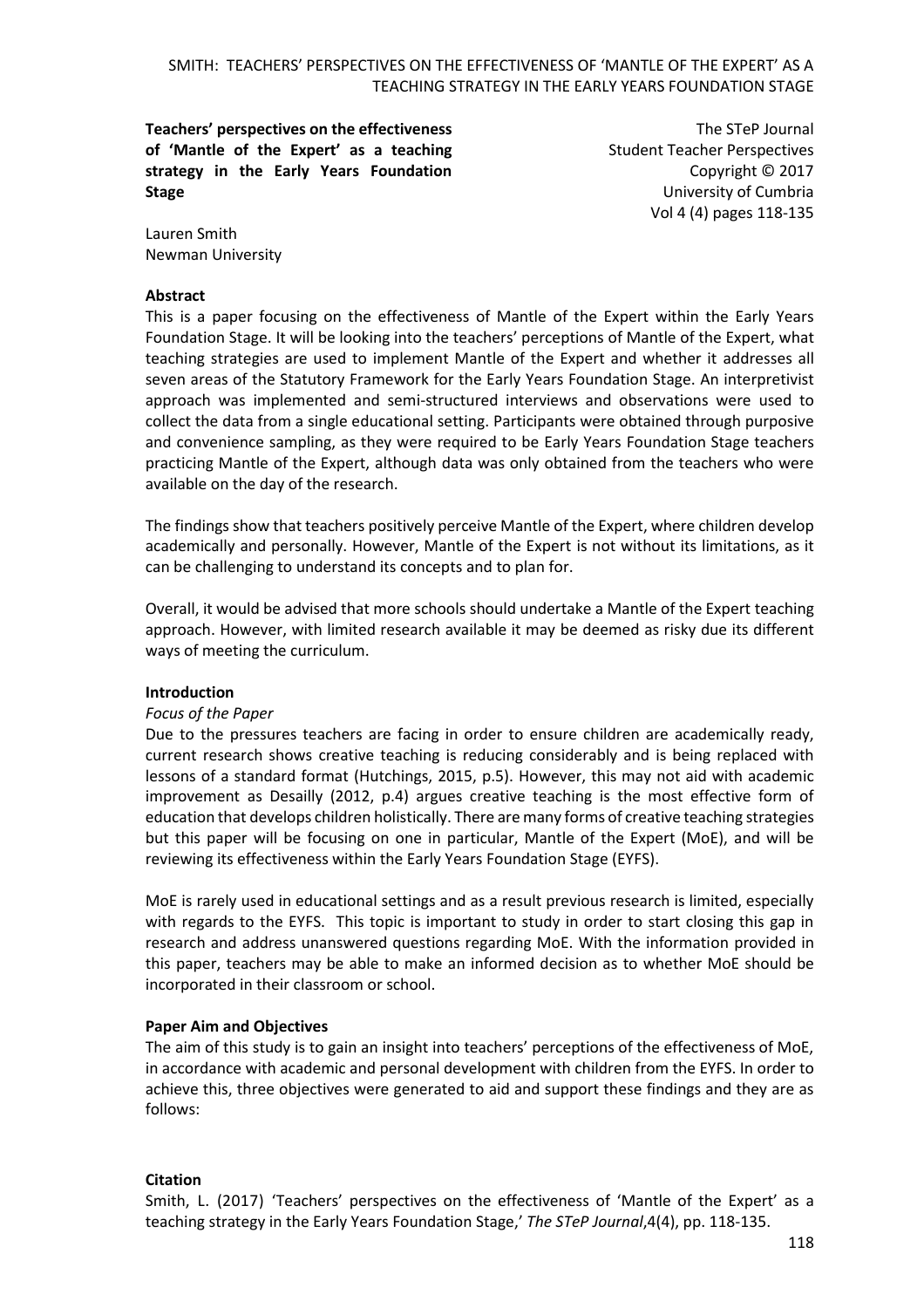**Teachers' perspectives on the effectiveness of 'Mantle of the Expert' as a teaching strategy in the Early Years Foundation Stage**

The STeP Journal Student Teacher Perspectives Copyright © 2017 University of Cumbria Vol 4 (4) pages 118-135

Lauren Smith Newman University

#### **Abstract**

This is a paper focusing on the effectiveness of Mantle of the Expert within the Early Years Foundation Stage. It will be looking into the teachers' perceptions of Mantle of the Expert, what teaching strategies are used to implement Mantle of the Expert and whether it addresses all seven areas of the Statutory Framework for the Early Years Foundation Stage. An interpretivist approach was implemented and semi-structured interviews and observations were used to collect the data from a single educational setting. Participants were obtained through purposive and convenience sampling, as they were required to be Early Years Foundation Stage teachers practicing Mantle of the Expert, although data was only obtained from the teachers who were available on the day of the research.

The findings show that teachers positively perceive Mantle of the Expert, where children develop academically and personally. However, Mantle of the Expert is not without its limitations, as it can be challenging to understand its concepts and to plan for.

Overall, it would be advised that more schools should undertake a Mantle of the Expert teaching approach. However, with limited research available it may be deemed as risky due its different ways of meeting the curriculum.

#### **Introduction**

#### *Focus of the Paper*

Due to the pressures teachers are facing in order to ensure children are academically ready, current research shows creative teaching is reducing considerably and is being replaced with lessons of a standard format (Hutchings, 2015, p.5). However, this may not aid with academic improvement as Desailly (2012, p.4) argues creative teaching is the most effective form of education that develops children holistically. There are many forms of creative teaching strategies but this paper will be focusing on one in particular, Mantle of the Expert (MoE), and will be reviewing its effectiveness within the Early Years Foundation Stage (EYFS).

MoE is rarely used in educational settings and as a result previous research is limited, especially with regards to the EYFS. This topic is important to study in order to start closing this gap in research and address unanswered questions regarding MoE. With the information provided in this paper, teachers may be able to make an informed decision as to whether MoE should be incorporated in their classroom or school.

#### **Paper Aim and Objectives**

The aim of this study is to gain an insight into teachers' perceptions of the effectiveness of MoE, in accordance with academic and personal development with children from the EYFS. In order to achieve this, three objectives were generated to aid and support these findings and they are as follows:

#### **Citation**

Smith, L. (2017) 'Teachers' perspectives on the effectiveness of 'Mantle of the Expert' as a teaching strategy in the Early Years Foundation Stage,' *The STeP Journal*,4(4), pp. 118-135.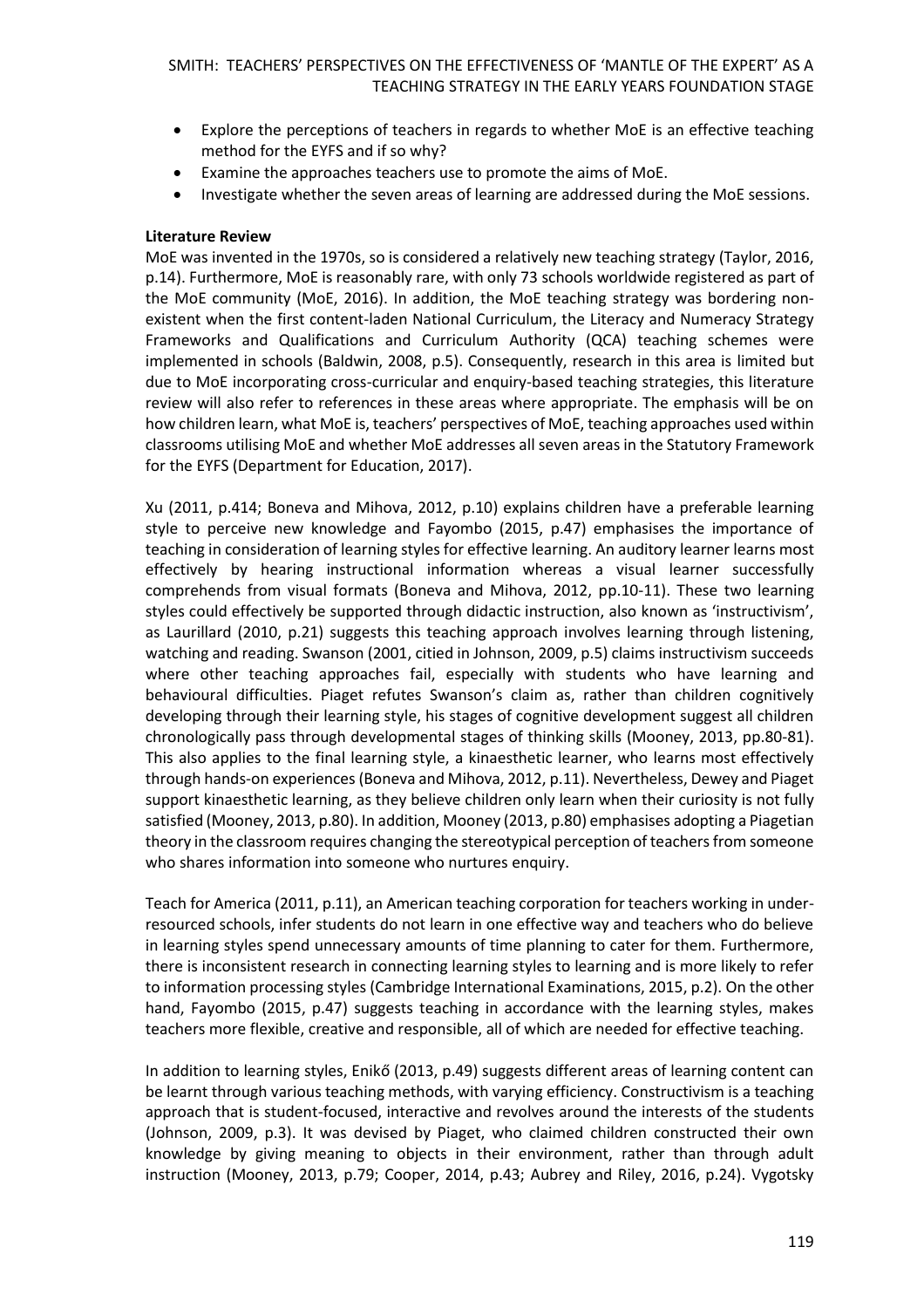- Explore the perceptions of teachers in regards to whether MoE is an effective teaching method for the EYFS and if so why?
- Examine the approaches teachers use to promote the aims of MoE.
- Investigate whether the seven areas of learning are addressed during the MoE sessions.

## **Literature Review**

MoE was invented in the 1970s, so is considered a relatively new teaching strategy (Taylor, 2016, p.14). Furthermore, MoE is reasonably rare, with only 73 schools worldwide registered as part of the MoE community (MoE, 2016). In addition, the MoE teaching strategy was bordering nonexistent when the first content-laden National Curriculum, the Literacy and Numeracy Strategy Frameworks and Qualifications and Curriculum Authority (QCA) teaching schemes were implemented in schools (Baldwin, 2008, p.5). Consequently, research in this area is limited but due to MoE incorporating cross-curricular and enquiry-based teaching strategies, this literature review will also refer to references in these areas where appropriate. The emphasis will be on how children learn, what MoE is, teachers' perspectives of MoE, teaching approaches used within classrooms utilising MoE and whether MoE addresses all seven areas in the Statutory Framework for the EYFS (Department for Education, 2017).

Xu (2011, p.414; Boneva and Mihova, 2012, p.10) explains children have a preferable learning style to perceive new knowledge and Fayombo (2015, p.47) emphasises the importance of teaching in consideration of learning styles for effective learning. An auditory learner learns most effectively by hearing instructional information whereas a visual learner successfully comprehends from visual formats (Boneva and Mihova, 2012, pp.10-11). These two learning styles could effectively be supported through didactic instruction, also known as 'instructivism', as Laurillard (2010, p.21) suggests this teaching approach involves learning through listening, watching and reading. Swanson (2001, citied in Johnson, 2009, p.5) claims instructivism succeeds where other teaching approaches fail, especially with students who have learning and behavioural difficulties. Piaget refutes Swanson's claim as, rather than children cognitively developing through their learning style, his stages of cognitive development suggest all children chronologically pass through developmental stages of thinking skills (Mooney, 2013, pp.80-81). This also applies to the final learning style, a kinaesthetic learner, who learns most effectively through hands-on experiences (Boneva and Mihova, 2012, p.11). Nevertheless, Dewey and Piaget support kinaesthetic learning, as they believe children only learn when their curiosity is not fully satisfied (Mooney, 2013, p.80). In addition, Mooney (2013, p.80) emphasises adopting a Piagetian theory in the classroom requires changing the stereotypical perception of teachers from someone who shares information into someone who nurtures enquiry.

Teach for America (2011, p.11), an American teaching corporation for teachers working in underresourced schools, infer students do not learn in one effective way and teachers who do believe in learning styles spend unnecessary amounts of time planning to cater for them. Furthermore, there is inconsistent research in connecting learning styles to learning and is more likely to refer to information processing styles (Cambridge International Examinations, 2015, p.2). On the other hand, Fayombo (2015, p.47) suggests teaching in accordance with the learning styles, makes teachers more flexible, creative and responsible, all of which are needed for effective teaching.

In addition to learning styles, Enikő (2013, p.49) suggests different areas of learning content can be learnt through various teaching methods, with varying efficiency. Constructivism is a teaching approach that is student-focused, interactive and revolves around the interests of the students (Johnson, 2009, p.3). It was devised by Piaget, who claimed children constructed their own knowledge by giving meaning to objects in their environment, rather than through adult instruction (Mooney, 2013, p.79; Cooper, 2014, p.43; Aubrey and Riley, 2016, p.24). Vygotsky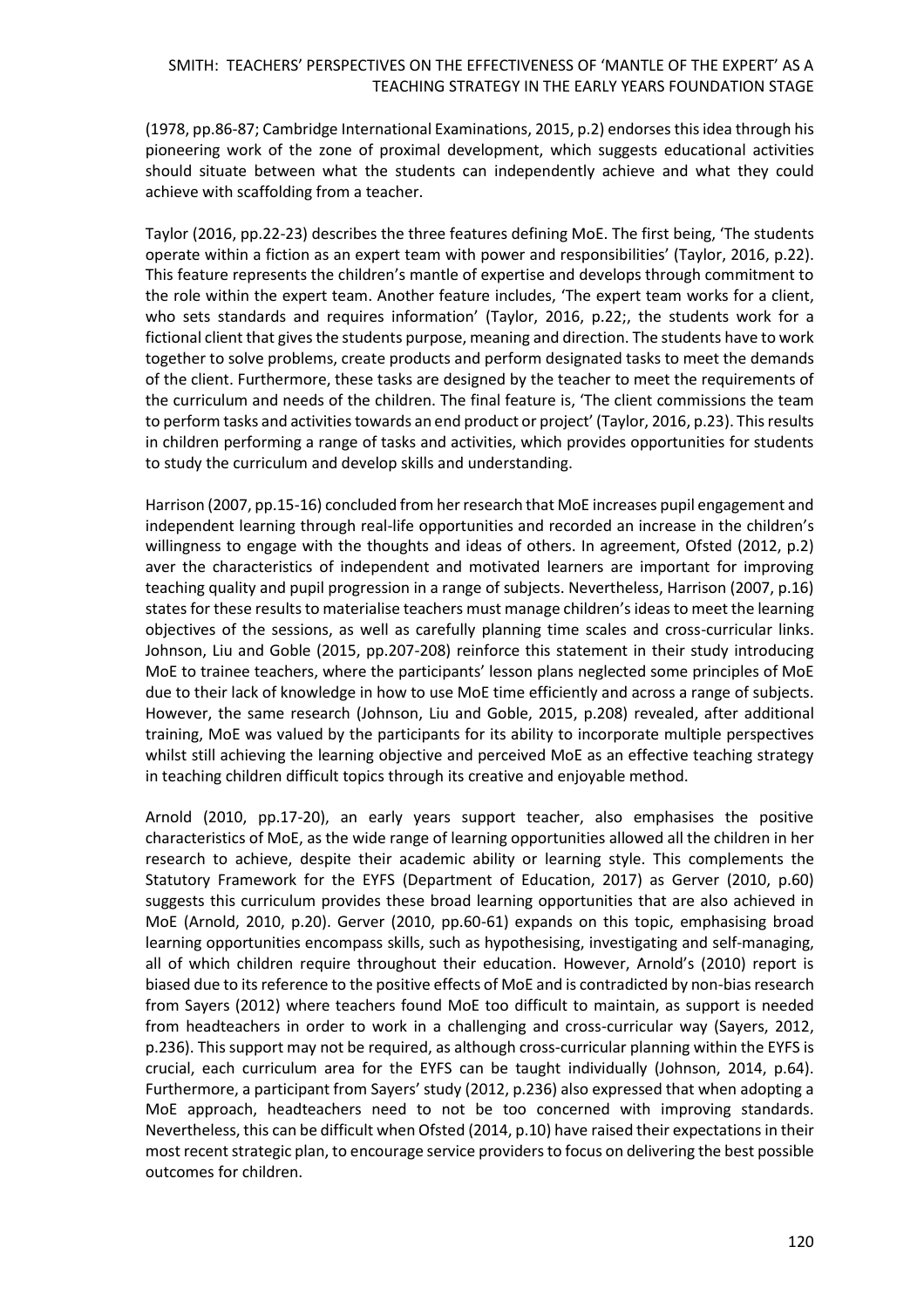(1978, pp.86-87; Cambridge International Examinations, 2015, p.2) endorses this idea through his pioneering work of the zone of proximal development, which suggests educational activities should situate between what the students can independently achieve and what they could achieve with scaffolding from a teacher.

Taylor (2016, pp.22-23) describes the three features defining MoE. The first being, 'The students operate within a fiction as an expert team with power and responsibilities' (Taylor, 2016, p.22). This feature represents the children's mantle of expertise and develops through commitment to the role within the expert team. Another feature includes, 'The expert team works for a client, who sets standards and requires information' (Taylor, 2016, p.22;, the students work for a fictional client that gives the students purpose, meaning and direction. The students have to work together to solve problems, create products and perform designated tasks to meet the demands of the client. Furthermore, these tasks are designed by the teacher to meet the requirements of the curriculum and needs of the children. The final feature is, 'The client commissions the team to perform tasks and activities towards an end product or project' (Taylor, 2016, p.23). This results in children performing a range of tasks and activities, which provides opportunities for students to study the curriculum and develop skills and understanding.

Harrison (2007, pp.15-16) concluded from her research that MoE increases pupil engagement and independent learning through real-life opportunities and recorded an increase in the children's willingness to engage with the thoughts and ideas of others. In agreement, Ofsted (2012, p.2) aver the characteristics of independent and motivated learners are important for improving teaching quality and pupil progression in a range of subjects. Nevertheless, Harrison (2007, p.16) states for these results to materialise teachers must manage children's ideas to meet the learning objectives of the sessions, as well as carefully planning time scales and cross-curricular links. Johnson, Liu and Goble (2015, pp.207-208) reinforce this statement in their study introducing MoE to trainee teachers, where the participants' lesson plans neglected some principles of MoE due to their lack of knowledge in how to use MoE time efficiently and across a range of subjects. However, the same research (Johnson, Liu and Goble, 2015, p.208) revealed, after additional training, MoE was valued by the participants for its ability to incorporate multiple perspectives whilst still achieving the learning objective and perceived MoE as an effective teaching strategy in teaching children difficult topics through its creative and enjoyable method.

Arnold (2010, pp.17-20), an early years support teacher, also emphasises the positive characteristics of MoE, as the wide range of learning opportunities allowed all the children in her research to achieve, despite their academic ability or learning style. This complements the Statutory Framework for the EYFS (Department of Education, 2017) as Gerver (2010, p.60) suggests this curriculum provides these broad learning opportunities that are also achieved in MoE (Arnold, 2010, p.20). Gerver (2010, pp.60-61) expands on this topic, emphasising broad learning opportunities encompass skills, such as hypothesising, investigating and self-managing, all of which children require throughout their education. However, Arnold's (2010) report is biased due to its reference to the positive effects of MoE and is contradicted by non-bias research from Sayers (2012) where teachers found MoE too difficult to maintain, as support is needed from headteachers in order to work in a challenging and cross-curricular way (Sayers, 2012, p.236). This support may not be required, as although cross-curricular planning within the EYFS is crucial, each curriculum area for the EYFS can be taught individually (Johnson, 2014, p.64). Furthermore, a participant from Sayers' study (2012, p.236) also expressed that when adopting a MoE approach, headteachers need to not be too concerned with improving standards. Nevertheless, this can be difficult when Ofsted (2014, p.10) have raised their expectations in their most recent strategic plan, to encourage service providers to focus on delivering the best possible outcomes for children.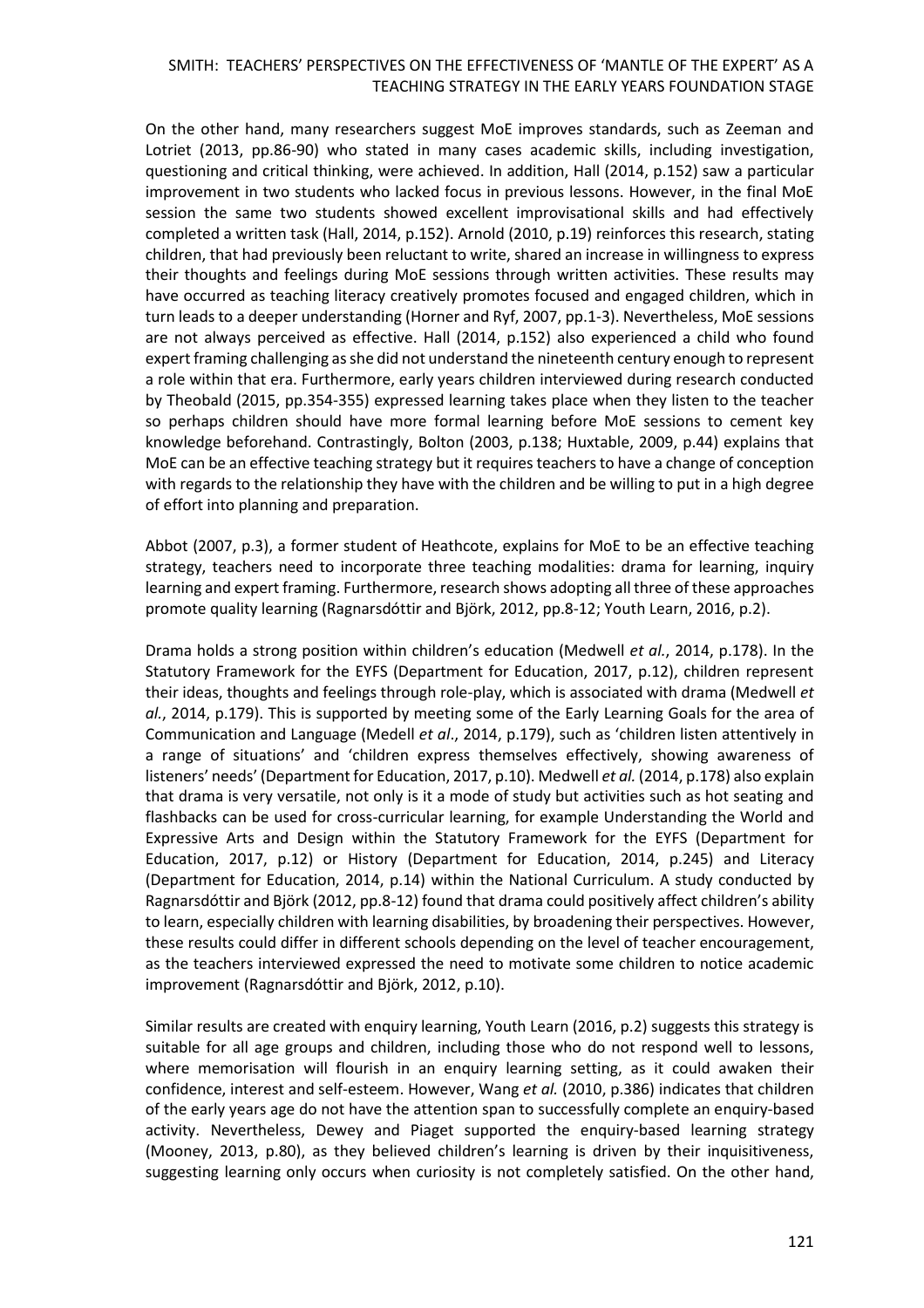On the other hand, many researchers suggest MoE improves standards, such as Zeeman and Lotriet (2013, pp.86-90) who stated in many cases academic skills, including investigation, questioning and critical thinking, were achieved. In addition, Hall (2014, p.152) saw a particular improvement in two students who lacked focus in previous lessons. However, in the final MoE session the same two students showed excellent improvisational skills and had effectively completed a written task (Hall, 2014, p.152). Arnold (2010, p.19) reinforces this research, stating children, that had previously been reluctant to write, shared an increase in willingness to express their thoughts and feelings during MoE sessions through written activities. These results may have occurred as teaching literacy creatively promotes focused and engaged children, which in turn leads to a deeper understanding (Horner and Ryf, 2007, pp.1-3). Nevertheless, MoE sessions are not always perceived as effective. Hall (2014, p.152) also experienced a child who found expert framing challenging as she did not understand the nineteenth century enough to represent a role within that era. Furthermore, early years children interviewed during research conducted by Theobald (2015, pp.354-355) expressed learning takes place when they listen to the teacher so perhaps children should have more formal learning before MoE sessions to cement key knowledge beforehand. Contrastingly, Bolton (2003, p.138; Huxtable, 2009, p.44) explains that MoE can be an effective teaching strategy but it requires teachers to have a change of conception with regards to the relationship they have with the children and be willing to put in a high degree of effort into planning and preparation.

Abbot (2007, p.3), a former student of Heathcote, explains for MoE to be an effective teaching strategy, teachers need to incorporate three teaching modalities: drama for learning, inquiry learning and expert framing. Furthermore, research shows adopting all three of these approaches promote quality learning (Ragnarsdóttir and Björk, 2012, pp.8-12; Youth Learn, 2016, p.2).

Drama holds a strong position within children's education (Medwell *et al.*, 2014, p.178). In the Statutory Framework for the EYFS (Department for Education, 2017, p.12), children represent their ideas, thoughts and feelings through role-play, which is associated with drama (Medwell *et al.*, 2014, p.179). This is supported by meeting some of the Early Learning Goals for the area of Communication and Language (Medell *et al*., 2014, p.179), such as 'children listen attentively in a range of situations' and 'children express themselves effectively, showing awareness of listeners' needs' (Department for Education, 2017, p.10). Medwell *et al.* (2014, p.178) also explain that drama is very versatile, not only is it a mode of study but activities such as hot seating and flashbacks can be used for cross-curricular learning, for example Understanding the World and Expressive Arts and Design within the Statutory Framework for the EYFS (Department for Education, 2017, p.12) or History (Department for Education, 2014, p.245) and Literacy (Department for Education, 2014, p.14) within the National Curriculum. A study conducted by Ragnarsdóttir and Björk (2012, pp.8-12) found that drama could positively affect children's ability to learn, especially children with learning disabilities, by broadening their perspectives. However, these results could differ in different schools depending on the level of teacher encouragement, as the teachers interviewed expressed the need to motivate some children to notice academic improvement (Ragnarsdóttir and Björk, 2012, p.10).

Similar results are created with enquiry learning, Youth Learn (2016, p.2) suggests this strategy is suitable for all age groups and children, including those who do not respond well to lessons, where memorisation will flourish in an enquiry learning setting, as it could awaken their confidence, interest and self-esteem. However, Wang *et al.* (2010, p.386) indicates that children of the early years age do not have the attention span to successfully complete an enquiry-based activity. Nevertheless, Dewey and Piaget supported the enquiry-based learning strategy (Mooney, 2013, p.80), as they believed children's learning is driven by their inquisitiveness, suggesting learning only occurs when curiosity is not completely satisfied. On the other hand,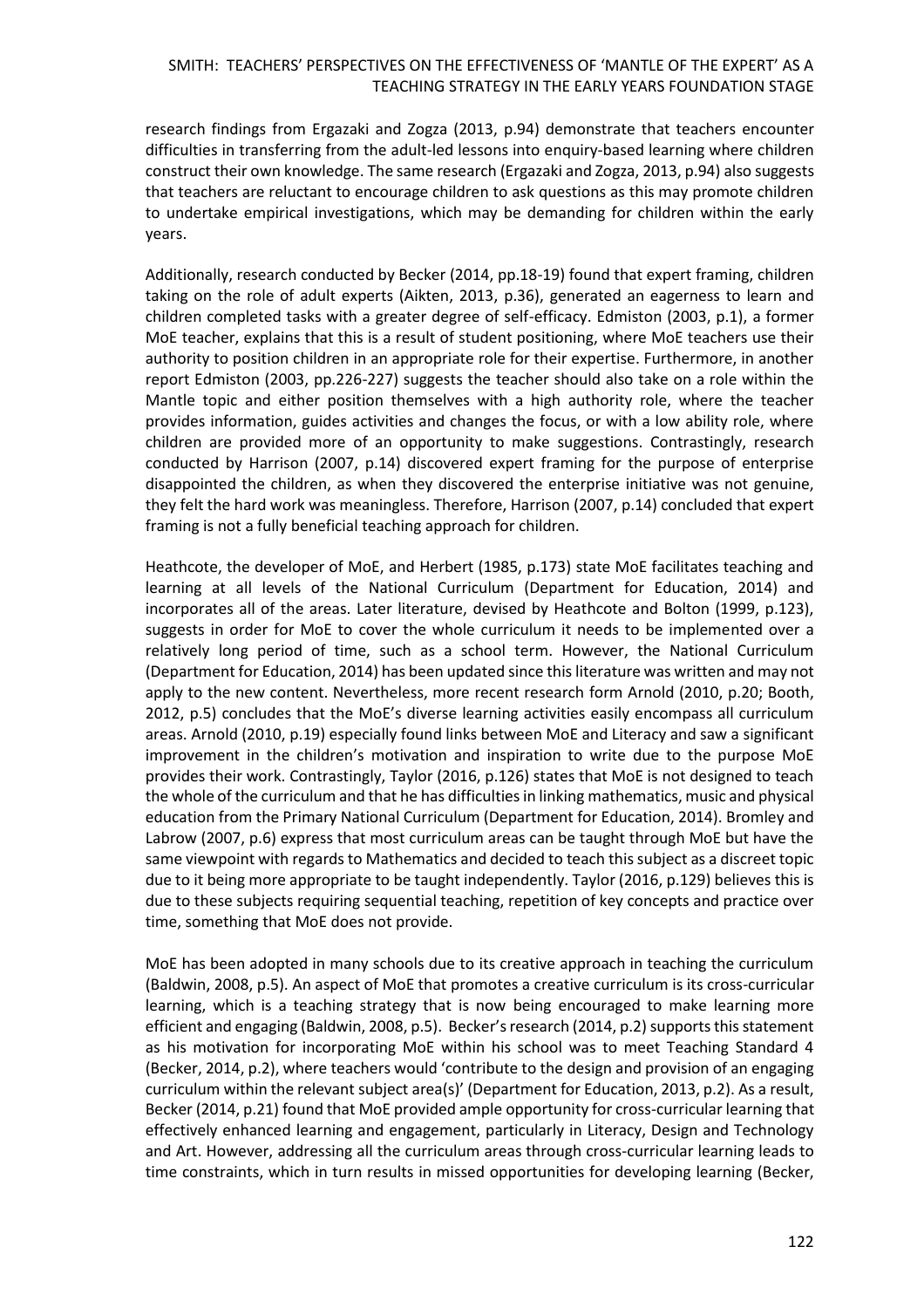research findings from Ergazaki and Zogza (2013, p.94) demonstrate that teachers encounter difficulties in transferring from the adult-led lessons into enquiry-based learning where children construct their own knowledge. The same research (Ergazaki and Zogza, 2013, p.94) also suggests that teachers are reluctant to encourage children to ask questions as this may promote children to undertake empirical investigations, which may be demanding for children within the early years.

Additionally, research conducted by Becker (2014, pp.18-19) found that expert framing, children taking on the role of adult experts (Aikten, 2013, p.36), generated an eagerness to learn and children completed tasks with a greater degree of self-efficacy. Edmiston (2003, p.1), a former MoE teacher, explains that this is a result of student positioning, where MoE teachers use their authority to position children in an appropriate role for their expertise. Furthermore, in another report Edmiston (2003, pp.226-227) suggests the teacher should also take on a role within the Mantle topic and either position themselves with a high authority role, where the teacher provides information, guides activities and changes the focus, or with a low ability role, where children are provided more of an opportunity to make suggestions. Contrastingly, research conducted by Harrison (2007, p.14) discovered expert framing for the purpose of enterprise disappointed the children, as when they discovered the enterprise initiative was not genuine, they felt the hard work was meaningless. Therefore, Harrison (2007, p.14) concluded that expert framing is not a fully beneficial teaching approach for children.

Heathcote, the developer of MoE, and Herbert (1985, p.173) state MoE facilitates teaching and learning at all levels of the National Curriculum (Department for Education, 2014) and incorporates all of the areas. Later literature, devised by Heathcote and Bolton (1999, p.123), suggests in order for MoE to cover the whole curriculum it needs to be implemented over a relatively long period of time, such as a school term. However, the National Curriculum (Department for Education, 2014) has been updated since this literature was written and may not apply to the new content. Nevertheless, more recent research form Arnold (2010, p.20; Booth, 2012, p.5) concludes that the MoE's diverse learning activities easily encompass all curriculum areas. Arnold (2010, p.19) especially found links between MoE and Literacy and saw a significant improvement in the children's motivation and inspiration to write due to the purpose MoE provides their work. Contrastingly, Taylor (2016, p.126) states that MoE is not designed to teach the whole of the curriculum and that he has difficulties in linking mathematics, music and physical education from the Primary National Curriculum (Department for Education, 2014). Bromley and Labrow (2007, p.6) express that most curriculum areas can be taught through MoE but have the same viewpoint with regards to Mathematics and decided to teach this subject as a discreet topic due to it being more appropriate to be taught independently. Taylor (2016, p.129) believes this is due to these subjects requiring sequential teaching, repetition of key concepts and practice over time, something that MoE does not provide.

MoE has been adopted in many schools due to its creative approach in teaching the curriculum (Baldwin, 2008, p.5). An aspect of MoE that promotes a creative curriculum is its cross-curricular learning, which is a teaching strategy that is now being encouraged to make learning more efficient and engaging (Baldwin, 2008, p.5). Becker's research (2014, p.2) supports this statement as his motivation for incorporating MoE within his school was to meet Teaching Standard 4 (Becker, 2014, p.2), where teachers would 'contribute to the design and provision of an engaging curriculum within the relevant subject area(s)' (Department for Education, 2013, p.2). As a result, Becker (2014, p.21) found that MoE provided ample opportunity for cross-curricular learning that effectively enhanced learning and engagement, particularly in Literacy, Design and Technology and Art. However, addressing all the curriculum areas through cross-curricular learning leads to time constraints, which in turn results in missed opportunities for developing learning (Becker,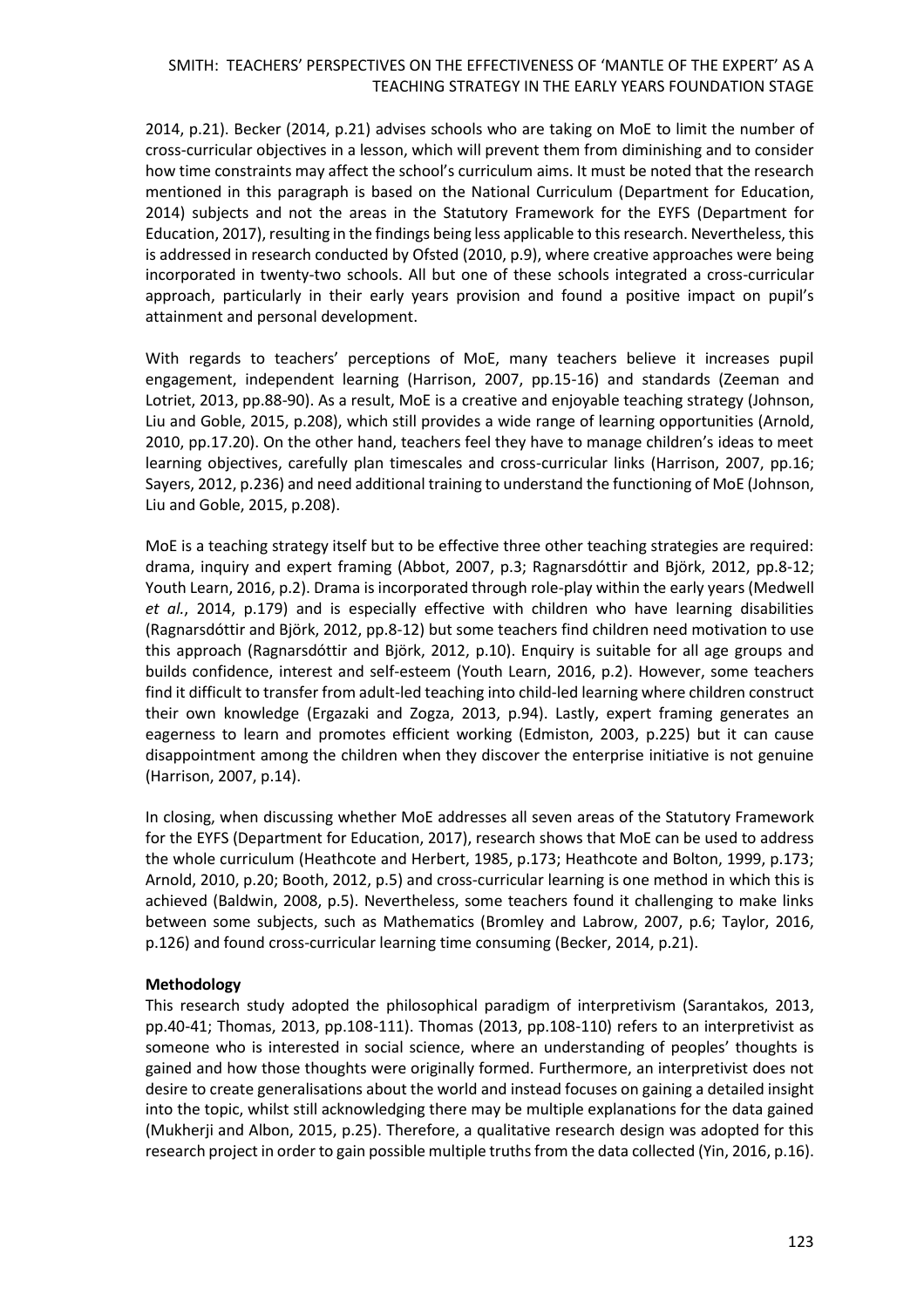2014, p.21). Becker (2014, p.21) advises schools who are taking on MoE to limit the number of cross-curricular objectives in a lesson, which will prevent them from diminishing and to consider how time constraints may affect the school's curriculum aims. It must be noted that the research mentioned in this paragraph is based on the National Curriculum (Department for Education, 2014) subjects and not the areas in the Statutory Framework for the EYFS (Department for Education, 2017), resulting in the findings being less applicable to this research. Nevertheless, this is addressed in research conducted by Ofsted (2010, p.9), where creative approaches were being incorporated in twenty-two schools. All but one of these schools integrated a cross-curricular approach, particularly in their early years provision and found a positive impact on pupil's attainment and personal development.

With regards to teachers' perceptions of MoE, many teachers believe it increases pupil engagement, independent learning (Harrison, 2007, pp.15-16) and standards (Zeeman and Lotriet, 2013, pp.88-90). As a result, MoE is a creative and enjoyable teaching strategy (Johnson, Liu and Goble, 2015, p.208), which still provides a wide range of learning opportunities (Arnold, 2010, pp.17.20). On the other hand, teachers feel they have to manage children's ideas to meet learning objectives, carefully plan timescales and cross-curricular links (Harrison, 2007, pp.16; Sayers, 2012, p.236) and need additional training to understand the functioning of MoE (Johnson, Liu and Goble, 2015, p.208).

MoE is a teaching strategy itself but to be effective three other teaching strategies are required: drama, inquiry and expert framing (Abbot, 2007, p.3; Ragnarsdóttir and Björk, 2012, pp.8-12; Youth Learn, 2016, p.2). Drama is incorporated through role-play within the early years (Medwell *et al.*, 2014, p.179) and is especially effective with children who have learning disabilities (Ragnarsdóttir and Björk, 2012, pp.8-12) but some teachers find children need motivation to use this approach (Ragnarsdóttir and Björk, 2012, p.10). Enquiry is suitable for all age groups and builds confidence, interest and self-esteem (Youth Learn, 2016, p.2). However, some teachers find it difficult to transfer from adult-led teaching into child-led learning where children construct their own knowledge (Ergazaki and Zogza, 2013, p.94). Lastly, expert framing generates an eagerness to learn and promotes efficient working (Edmiston, 2003, p.225) but it can cause disappointment among the children when they discover the enterprise initiative is not genuine (Harrison, 2007, p.14).

In closing, when discussing whether MoE addresses all seven areas of the Statutory Framework for the EYFS (Department for Education, 2017), research shows that MoE can be used to address the whole curriculum (Heathcote and Herbert, 1985, p.173; Heathcote and Bolton, 1999, p.173; Arnold, 2010, p.20; Booth, 2012, p.5) and cross-curricular learning is one method in which this is achieved (Baldwin, 2008, p.5). Nevertheless, some teachers found it challenging to make links between some subjects, such as Mathematics (Bromley and Labrow, 2007, p.6; Taylor, 2016, p.126) and found cross-curricular learning time consuming (Becker, 2014, p.21).

#### **Methodology**

This research study adopted the philosophical paradigm of interpretivism (Sarantakos, 2013, pp.40-41; Thomas, 2013, pp.108-111). Thomas (2013, pp.108-110) refers to an interpretivist as someone who is interested in social science, where an understanding of peoples' thoughts is gained and how those thoughts were originally formed. Furthermore, an interpretivist does not desire to create generalisations about the world and instead focuses on gaining a detailed insight into the topic, whilst still acknowledging there may be multiple explanations for the data gained (Mukherji and Albon, 2015, p.25). Therefore, a qualitative research design was adopted for this research project in order to gain possible multiple truths from the data collected (Yin, 2016, p.16).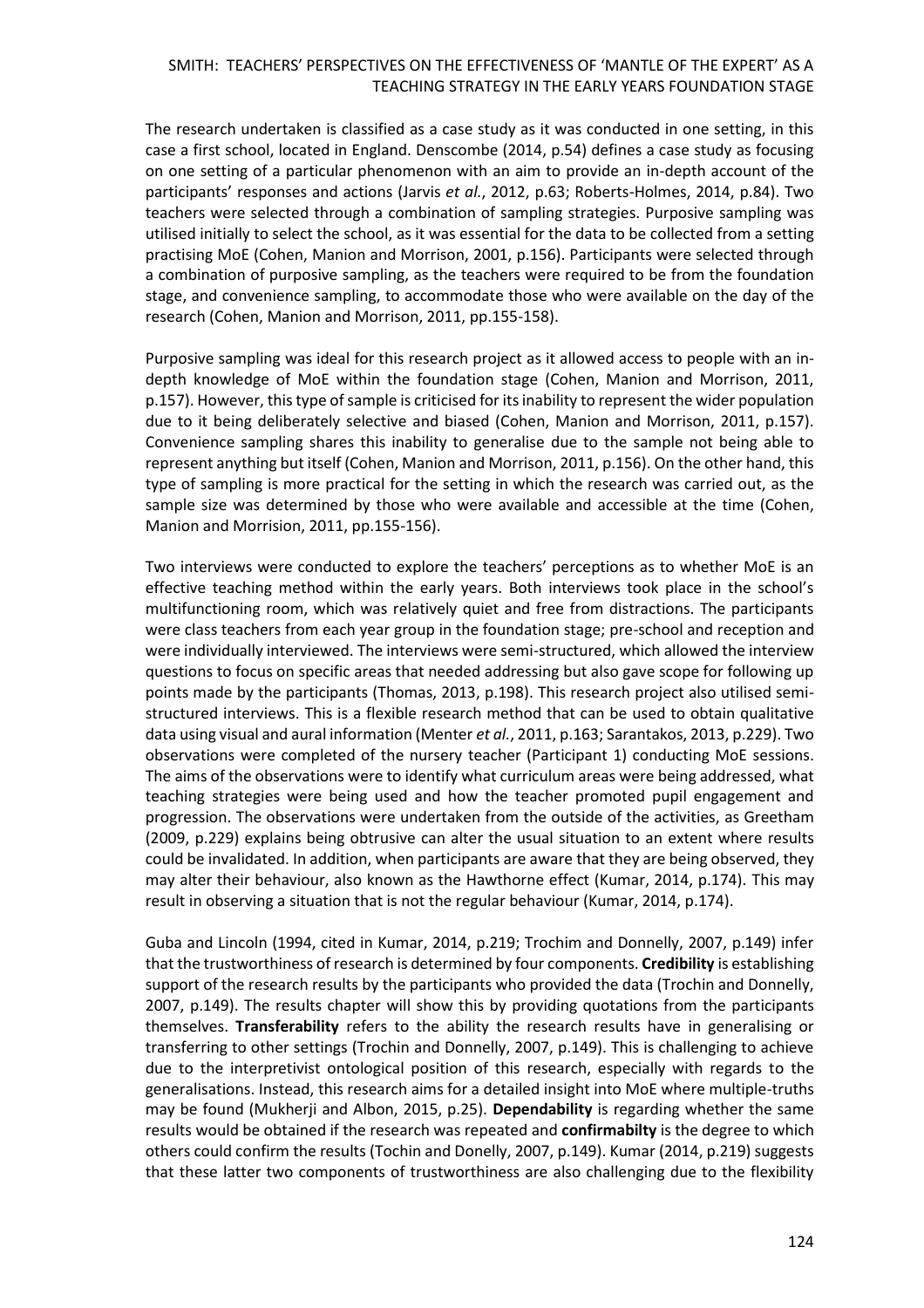The research undertaken is classified as a case study as it was conducted in one setting, in this case a first school, located in England. Denscombe (2014, p.54) defines a case study as focusing on one setting of a particular phenomenon with an aim to provide an in-depth account of the participants' responses and actions (Jarvis *et al.*, 2012, p.63; Roberts-Holmes, 2014, p.84). Two teachers were selected through a combination of sampling strategies. Purposive sampling was utilised initially to select the school, as it was essential for the data to be collected from a setting practising MoE (Cohen, Manion and Morrison, 2001, p.156). Participants were selected through a combination of purposive sampling, as the teachers were required to be from the foundation stage, and convenience sampling, to accommodate those who were available on the day of the research (Cohen, Manion and Morrison, 2011, pp.155-158).

Purposive sampling was ideal for this research project as it allowed access to people with an indepth knowledge of MoE within the foundation stage (Cohen, Manion and Morrison, 2011, p.157). However, this type of sample is criticised for its inability to represent the wider population due to it being deliberately selective and biased (Cohen, Manion and Morrison, 2011, p.157). Convenience sampling shares this inability to generalise due to the sample not being able to represent anything but itself (Cohen, Manion and Morrison, 2011, p.156). On the other hand, this type of sampling is more practical for the setting in which the research was carried out, as the sample size was determined by those who were available and accessible at the time (Cohen, Manion and Morrision, 2011, pp.155-156).

Two interviews were conducted to explore the teachers' perceptions as to whether MoE is an effective teaching method within the early years. Both interviews took place in the school's multifunctioning room, which was relatively quiet and free from distractions. The participants were class teachers from each year group in the foundation stage; pre-school and reception and were individually interviewed. The interviews were semi-structured, which allowed the interview questions to focus on specific areas that needed addressing but also gave scope for following up points made by the participants (Thomas, 2013, p.198). This research project also utilised semistructured interviews. This is a flexible research method that can be used to obtain qualitative data using visual and aural information (Menter *et al.*, 2011, p.163; Sarantakos, 2013, p.229). Two observations were completed of the nursery teacher (Participant 1) conducting MoE sessions. The aims of the observations were to identify what curriculum areas were being addressed, what teaching strategies were being used and how the teacher promoted pupil engagement and progression. The observations were undertaken from the outside of the activities, as Greetham (2009, p.229) explains being obtrusive can alter the usual situation to an extent where results could be invalidated. In addition, when participants are aware that they are being observed, they may alter their behaviour, also known as the Hawthorne effect (Kumar, 2014, p.174). This may result in observing a situation that is not the regular behaviour (Kumar, 2014, p.174).

Guba and Lincoln (1994, cited in Kumar, 2014, p.219; Trochim and Donnelly, 2007, p.149) infer that the trustworthiness of research is determined by four components. **Credibility** is establishing support of the research results by the participants who provided the data (Trochin and Donnelly, 2007, p.149). The results chapter will show this by providing quotations from the participants themselves. **Transferability** refers to the ability the research results have in generalising or transferring to other settings (Trochin and Donnelly, 2007, p.149). This is challenging to achieve due to the interpretivist ontological position of this research, especially with regards to the generalisations. Instead, this research aims for a detailed insight into MoE where multiple-truths may be found (Mukherji and Albon, 2015, p.25). **Dependability** is regarding whether the same results would be obtained if the research was repeated and **confirmabilty** is the degree to which others could confirm the results (Tochin and Donelly, 2007, p.149). Kumar (2014, p.219) suggests that these latter two components of trustworthiness are also challenging due to the flexibility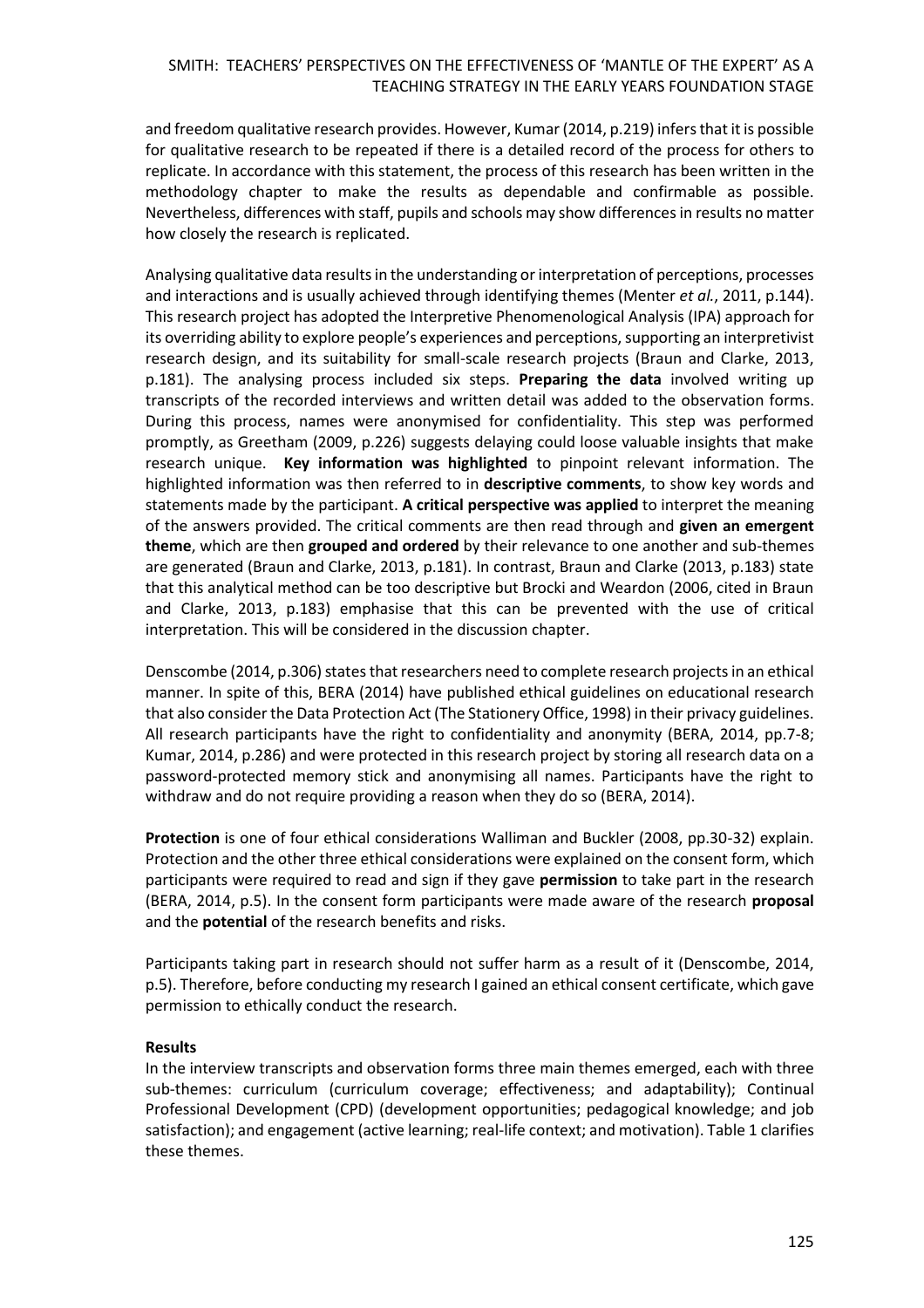and freedom qualitative research provides. However, Kumar (2014, p.219) infers that it is possible for qualitative research to be repeated if there is a detailed record of the process for others to replicate. In accordance with this statement, the process of this research has been written in the methodology chapter to make the results as dependable and confirmable as possible. Nevertheless, differences with staff, pupils and schools may show differences in results no matter how closely the research is replicated.

Analysing qualitative data results in the understanding or interpretation of perceptions, processes and interactions and is usually achieved through identifying themes (Menter *et al.*, 2011, p.144). This research project has adopted the Interpretive Phenomenological Analysis (IPA) approach for its overriding ability to explore people's experiences and perceptions, supporting an interpretivist research design, and its suitability for small-scale research projects (Braun and Clarke, 2013, p.181). The analysing process included six steps. **Preparing the data** involved writing up transcripts of the recorded interviews and written detail was added to the observation forms. During this process, names were anonymised for confidentiality. This step was performed promptly, as Greetham (2009, p.226) suggests delaying could loose valuable insights that make research unique. **Key information was highlighted** to pinpoint relevant information. The highlighted information was then referred to in **descriptive comments**, to show key words and statements made by the participant. **A critical perspective was applied** to interpret the meaning of the answers provided. The critical comments are then read through and **given an emergent theme**, which are then **grouped and ordered** by their relevance to one another and sub-themes are generated (Braun and Clarke, 2013, p.181). In contrast, Braun and Clarke (2013, p.183) state that this analytical method can be too descriptive but Brocki and Weardon (2006, cited in Braun and Clarke, 2013, p.183) emphasise that this can be prevented with the use of critical interpretation. This will be considered in the discussion chapter.

Denscombe (2014, p.306) states that researchers need to complete research projects in an ethical manner. In spite of this, BERA (2014) have published ethical guidelines on educational research that also consider the Data Protection Act (The Stationery Office, 1998) in their privacy guidelines. All research participants have the right to confidentiality and anonymity (BERA, 2014, pp.7-8; Kumar, 2014, p.286) and were protected in this research project by storing all research data on a password-protected memory stick and anonymising all names. Participants have the right to withdraw and do not require providing a reason when they do so (BERA, 2014).

**Protection** is one of four ethical considerations Walliman and Buckler (2008, pp.30-32) explain. Protection and the other three ethical considerations were explained on the consent form, which participants were required to read and sign if they gave **permission** to take part in the research (BERA, 2014, p.5). In the consent form participants were made aware of the research **proposal** and the **potential** of the research benefits and risks.

Participants taking part in research should not suffer harm as a result of it (Denscombe, 2014, p.5). Therefore, before conducting my research I gained an ethical consent certificate, which gave permission to ethically conduct the research.

#### **Results**

In the interview transcripts and observation forms three main themes emerged, each with three sub-themes: curriculum (curriculum coverage; effectiveness; and adaptability); Continual Professional Development (CPD) (development opportunities; pedagogical knowledge; and job satisfaction); and engagement (active learning; real-life context; and motivation). Table 1 clarifies these themes.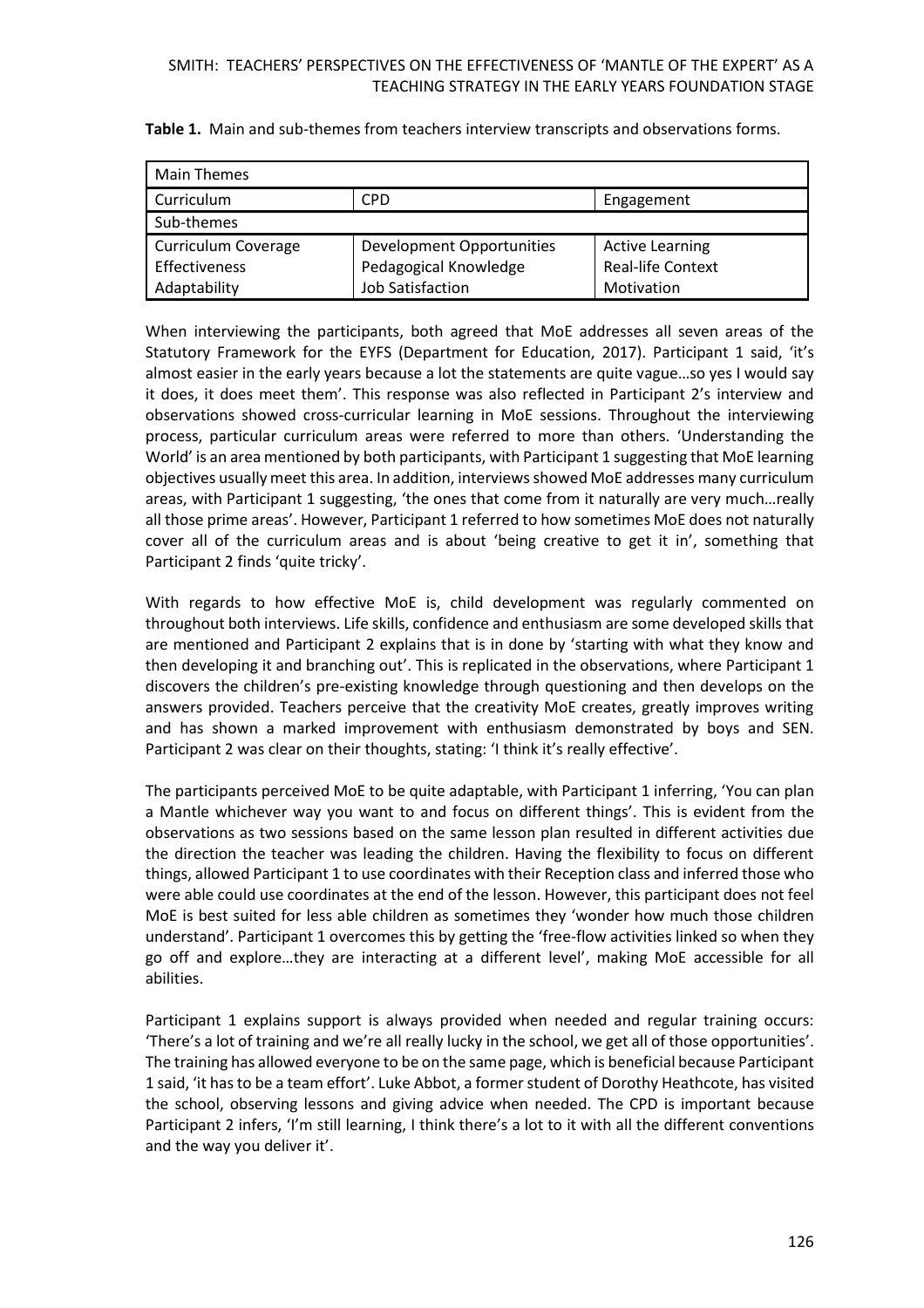| <b>Main Themes</b>         |                           |                          |
|----------------------------|---------------------------|--------------------------|
| Curriculum                 | <b>CPD</b>                | Engagement               |
| Sub-themes                 |                           |                          |
| <b>Curriculum Coverage</b> | Development Opportunities | <b>Active Learning</b>   |
| Effectiveness              | Pedagogical Knowledge     | <b>Real-life Context</b> |
| Adaptability               | Job Satisfaction          | Motivation               |

**Table 1.** Main and sub-themes from teachers interview transcripts and observations forms.

When interviewing the participants, both agreed that MoE addresses all seven areas of the Statutory Framework for the EYFS (Department for Education, 2017). Participant 1 said, 'it's almost easier in the early years because a lot the statements are quite vague…so yes I would say it does, it does meet them'. This response was also reflected in Participant 2's interview and observations showed cross-curricular learning in MoE sessions. Throughout the interviewing process, particular curriculum areas were referred to more than others. 'Understanding the World' is an area mentioned by both participants, with Participant 1 suggesting that MoE learning objectives usually meet this area. In addition, interviews showed MoE addresses many curriculum areas, with Participant 1 suggesting, 'the ones that come from it naturally are very much…really all those prime areas'. However, Participant 1 referred to how sometimes MoE does not naturally cover all of the curriculum areas and is about 'being creative to get it in', something that Participant 2 finds 'quite tricky'.

With regards to how effective MoE is, child development was regularly commented on throughout both interviews. Life skills, confidence and enthusiasm are some developed skills that are mentioned and Participant 2 explains that is in done by 'starting with what they know and then developing it and branching out'. This is replicated in the observations, where Participant 1 discovers the children's pre-existing knowledge through questioning and then develops on the answers provided. Teachers perceive that the creativity MoE creates, greatly improves writing and has shown a marked improvement with enthusiasm demonstrated by boys and SEN. Participant 2 was clear on their thoughts, stating: 'I think it's really effective'.

The participants perceived MoE to be quite adaptable, with Participant 1 inferring, 'You can plan a Mantle whichever way you want to and focus on different things'. This is evident from the observations as two sessions based on the same lesson plan resulted in different activities due the direction the teacher was leading the children. Having the flexibility to focus on different things, allowed Participant 1 to use coordinates with their Reception class and inferred those who were able could use coordinates at the end of the lesson. However, this participant does not feel MoE is best suited for less able children as sometimes they 'wonder how much those children understand'. Participant 1 overcomes this by getting the 'free-flow activities linked so when they go off and explore…they are interacting at a different level', making MoE accessible for all abilities.

Participant 1 explains support is always provided when needed and regular training occurs: 'There's a lot of training and we're all really lucky in the school, we get all of those opportunities'. The training has allowed everyone to be on the same page, which is beneficial because Participant 1 said, 'it has to be a team effort'. Luke Abbot, a former student of Dorothy Heathcote, has visited the school, observing lessons and giving advice when needed. The CPD is important because Participant 2 infers, 'I'm still learning, I think there's a lot to it with all the different conventions and the way you deliver it'.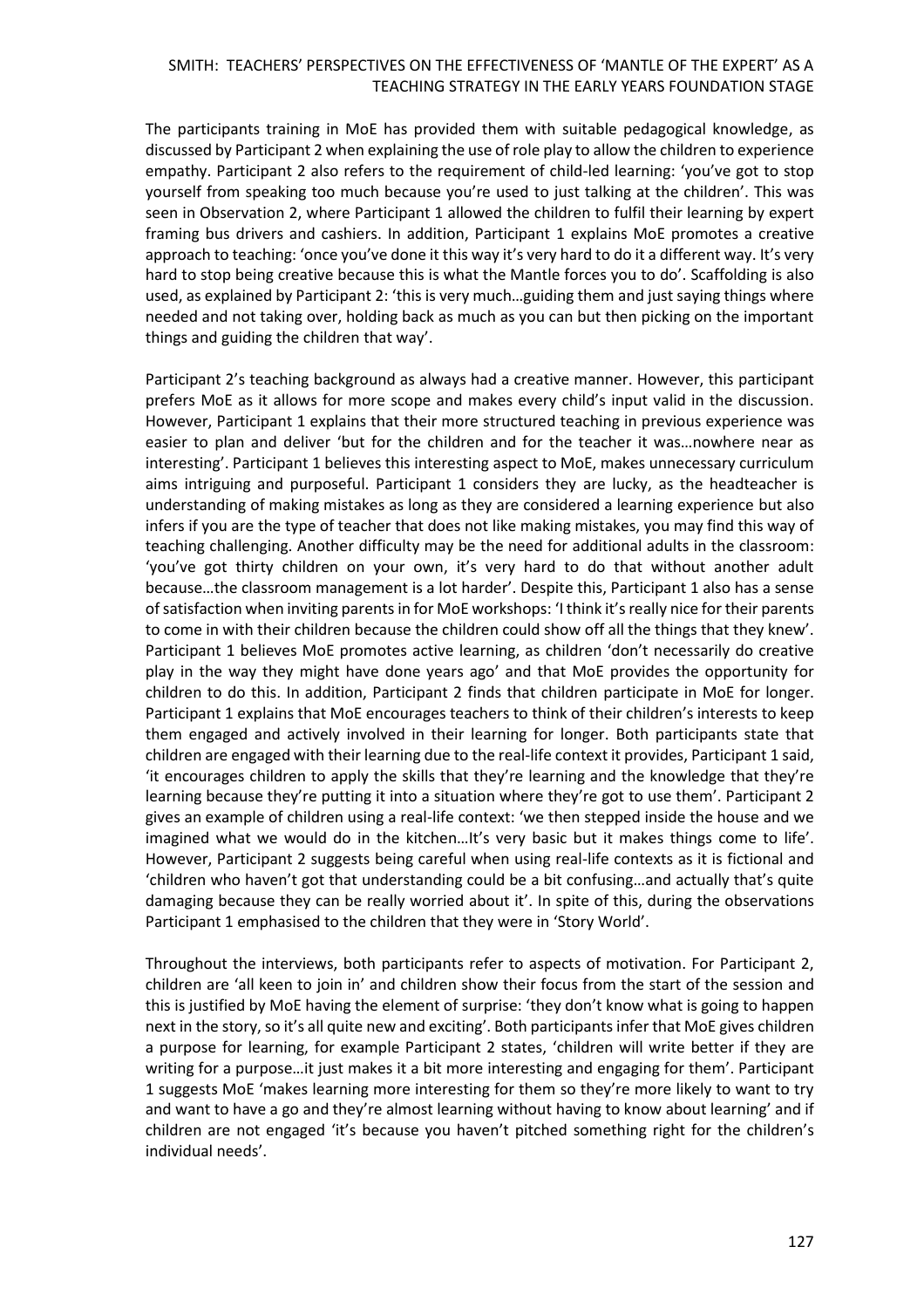The participants training in MoE has provided them with suitable pedagogical knowledge, as discussed by Participant 2 when explaining the use of role play to allow the children to experience empathy. Participant 2 also refers to the requirement of child-led learning: 'you've got to stop yourself from speaking too much because you're used to just talking at the children'. This was seen in Observation 2, where Participant 1 allowed the children to fulfil their learning by expert framing bus drivers and cashiers. In addition, Participant 1 explains MoE promotes a creative approach to teaching: 'once you've done it this way it's very hard to do it a different way. It's very hard to stop being creative because this is what the Mantle forces you to do'. Scaffolding is also used, as explained by Participant 2: 'this is very much…guiding them and just saying things where needed and not taking over, holding back as much as you can but then picking on the important things and guiding the children that way'.

Participant 2's teaching background as always had a creative manner. However, this participant prefers MoE as it allows for more scope and makes every child's input valid in the discussion. However, Participant 1 explains that their more structured teaching in previous experience was easier to plan and deliver 'but for the children and for the teacher it was…nowhere near as interesting'. Participant 1 believes this interesting aspect to MoE, makes unnecessary curriculum aims intriguing and purposeful. Participant 1 considers they are lucky, as the headteacher is understanding of making mistakes as long as they are considered a learning experience but also infers if you are the type of teacher that does not like making mistakes, you may find this way of teaching challenging. Another difficulty may be the need for additional adults in the classroom: 'you've got thirty children on your own, it's very hard to do that without another adult because…the classroom management is a lot harder'. Despite this, Participant 1 also has a sense ofsatisfaction when inviting parents in for MoE workshops: 'I think it's really nice for their parents to come in with their children because the children could show off all the things that they knew'. Participant 1 believes MoE promotes active learning, as children 'don't necessarily do creative play in the way they might have done years ago' and that MoE provides the opportunity for children to do this. In addition, Participant 2 finds that children participate in MoE for longer. Participant 1 explains that MoE encourages teachers to think of their children's interests to keep them engaged and actively involved in their learning for longer. Both participants state that children are engaged with their learning due to the real-life context it provides, Participant 1 said, 'it encourages children to apply the skills that they're learning and the knowledge that they're learning because they're putting it into a situation where they're got to use them'. Participant 2 gives an example of children using a real-life context: 'we then stepped inside the house and we imagined what we would do in the kitchen…It's very basic but it makes things come to life'. However, Participant 2 suggests being careful when using real-life contexts as it is fictional and 'children who haven't got that understanding could be a bit confusing…and actually that's quite damaging because they can be really worried about it'. In spite of this, during the observations Participant 1 emphasised to the children that they were in 'Story World'.

Throughout the interviews, both participants refer to aspects of motivation. For Participant 2, children are 'all keen to join in' and children show their focus from the start of the session and this is justified by MoE having the element of surprise: 'they don't know what is going to happen next in the story, so it's all quite new and exciting'. Both participants infer that MoE gives children a purpose for learning, for example Participant 2 states, 'children will write better if they are writing for a purpose…it just makes it a bit more interesting and engaging for them'. Participant 1 suggests MoE 'makes learning more interesting for them so they're more likely to want to try and want to have a go and they're almost learning without having to know about learning' and if children are not engaged 'it's because you haven't pitched something right for the children's individual needs'.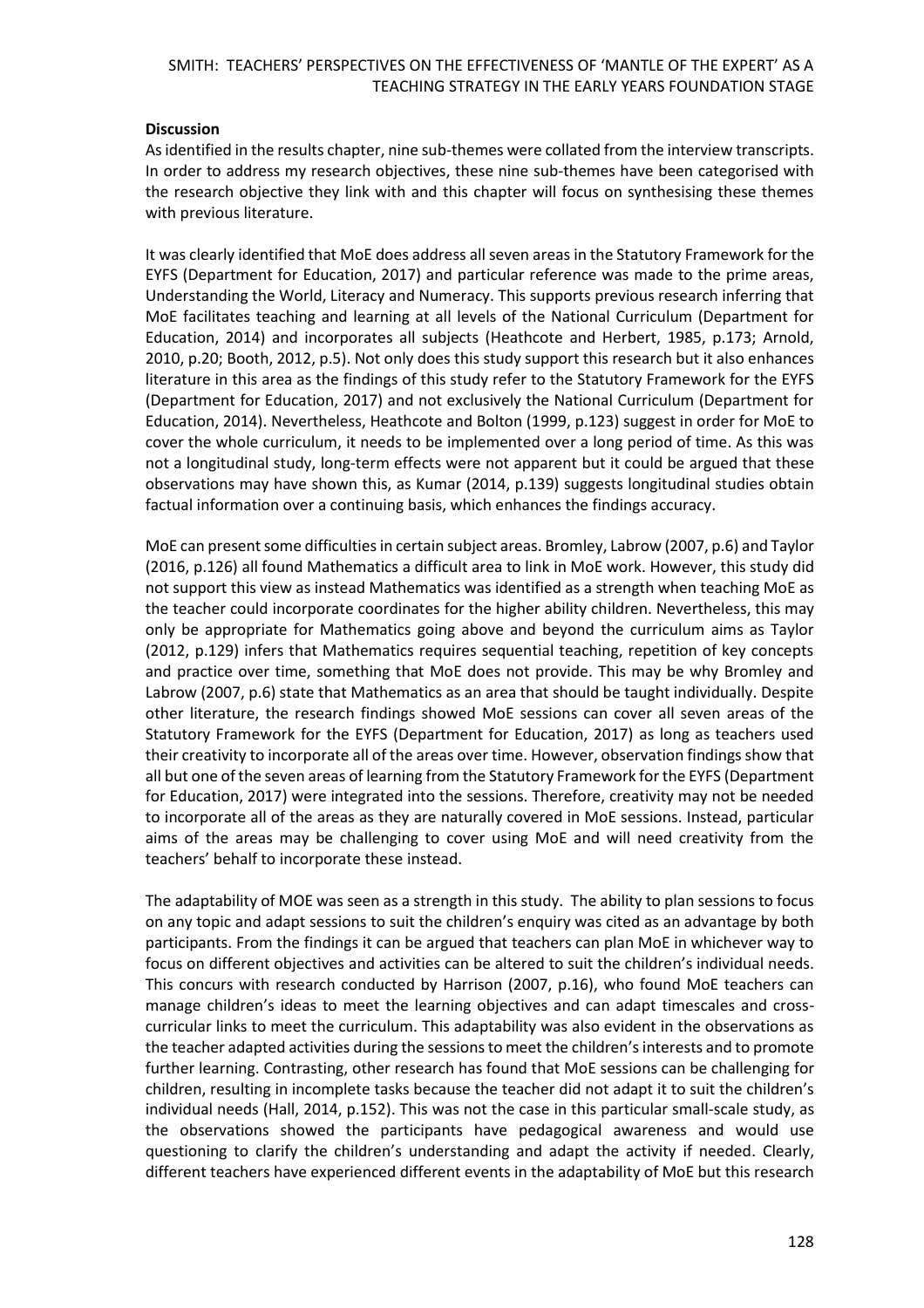#### **Discussion**

As identified in the results chapter, nine sub-themes were collated from the interview transcripts. In order to address my research objectives, these nine sub-themes have been categorised with the research objective they link with and this chapter will focus on synthesising these themes with previous literature.

It was clearly identified that MoE does address all seven areas in the Statutory Framework for the EYFS (Department for Education, 2017) and particular reference was made to the prime areas, Understanding the World, Literacy and Numeracy. This supports previous research inferring that MoE facilitates teaching and learning at all levels of the National Curriculum (Department for Education, 2014) and incorporates all subjects (Heathcote and Herbert, 1985, p.173; Arnold, 2010, p.20; Booth, 2012, p.5). Not only does this study support this research but it also enhances literature in this area as the findings of this study refer to the Statutory Framework for the EYFS (Department for Education, 2017) and not exclusively the National Curriculum (Department for Education, 2014). Nevertheless, Heathcote and Bolton (1999, p.123) suggest in order for MoE to cover the whole curriculum, it needs to be implemented over a long period of time. As this was not a longitudinal study, long-term effects were not apparent but it could be argued that these observations may have shown this, as Kumar (2014, p.139) suggests longitudinal studies obtain factual information over a continuing basis, which enhances the findings accuracy.

MoE can present some difficulties in certain subject areas. Bromley, Labrow (2007, p.6) and Taylor (2016, p.126) all found Mathematics a difficult area to link in MoE work. However, this study did not support this view as instead Mathematics was identified as a strength when teaching MoE as the teacher could incorporate coordinates for the higher ability children. Nevertheless, this may only be appropriate for Mathematics going above and beyond the curriculum aims as Taylor (2012, p.129) infers that Mathematics requires sequential teaching, repetition of key concepts and practice over time, something that MoE does not provide. This may be why Bromley and Labrow (2007, p.6) state that Mathematics as an area that should be taught individually. Despite other literature, the research findings showed MoE sessions can cover all seven areas of the Statutory Framework for the EYFS (Department for Education, 2017) as long as teachers used their creativity to incorporate all of the areas over time. However, observation findings show that all but one of the seven areas of learning from the Statutory Framework for the EYFS (Department for Education, 2017) were integrated into the sessions. Therefore, creativity may not be needed to incorporate all of the areas as they are naturally covered in MoE sessions. Instead, particular aims of the areas may be challenging to cover using MoE and will need creativity from the teachers' behalf to incorporate these instead.

The adaptability of MOE was seen as a strength in this study. The ability to plan sessions to focus on any topic and adapt sessions to suit the children's enquiry was cited as an advantage by both participants. From the findings it can be argued that teachers can plan MoE in whichever way to focus on different objectives and activities can be altered to suit the children's individual needs. This concurs with research conducted by Harrison (2007, p.16), who found MoE teachers can manage children's ideas to meet the learning objectives and can adapt timescales and crosscurricular links to meet the curriculum. This adaptability was also evident in the observations as the teacher adapted activities during the sessions to meet the children's interests and to promote further learning. Contrasting, other research has found that MoE sessions can be challenging for children, resulting in incomplete tasks because the teacher did not adapt it to suit the children's individual needs (Hall, 2014, p.152). This was not the case in this particular small-scale study, as the observations showed the participants have pedagogical awareness and would use questioning to clarify the children's understanding and adapt the activity if needed. Clearly, different teachers have experienced different events in the adaptability of MoE but this research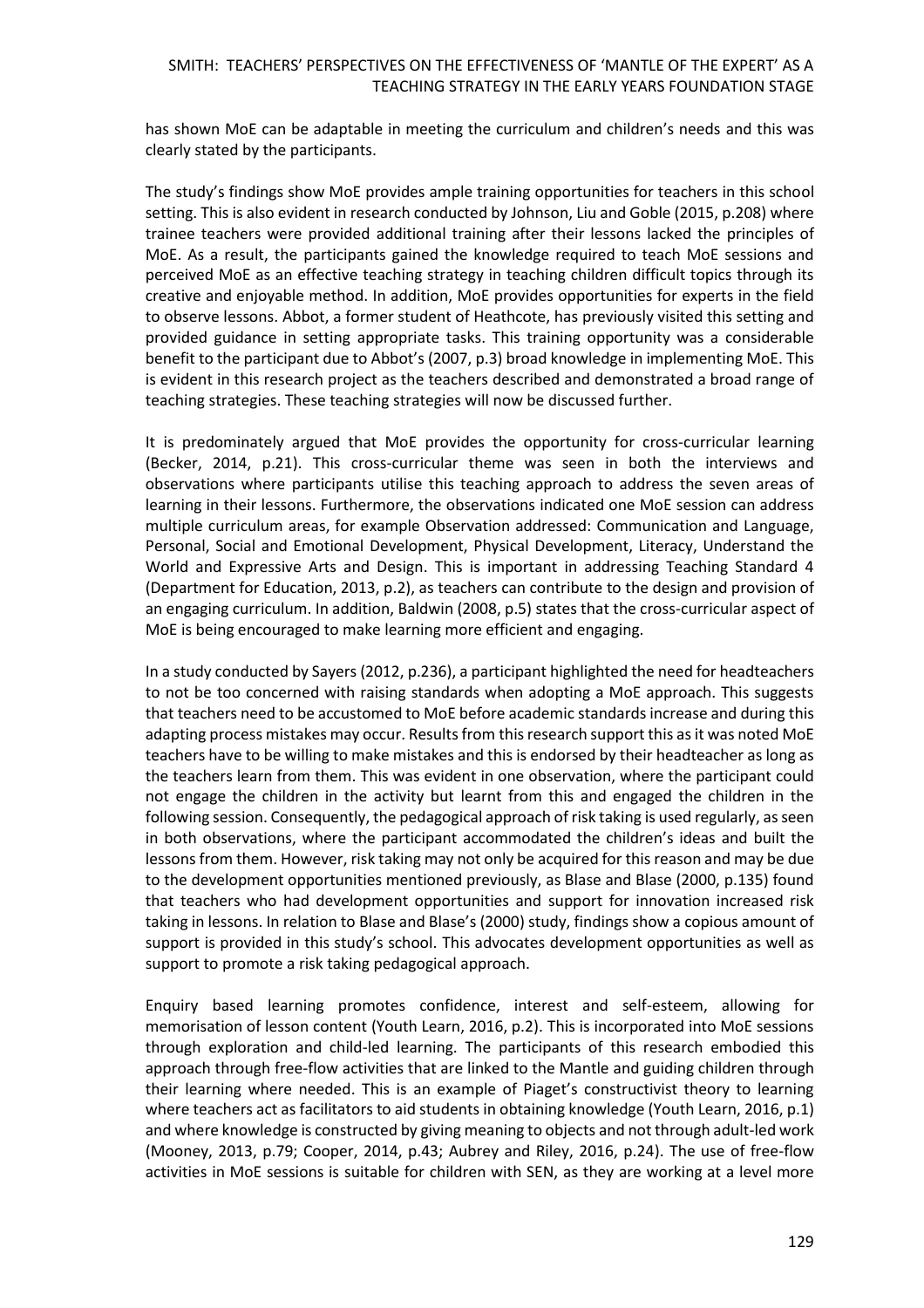has shown MoE can be adaptable in meeting the curriculum and children's needs and this was clearly stated by the participants.

The study's findings show MoE provides ample training opportunities for teachers in this school setting. This is also evident in research conducted by Johnson, Liu and Goble (2015, p.208) where trainee teachers were provided additional training after their lessons lacked the principles of MoE. As a result, the participants gained the knowledge required to teach MoE sessions and perceived MoE as an effective teaching strategy in teaching children difficult topics through its creative and enjoyable method. In addition, MoE provides opportunities for experts in the field to observe lessons. Abbot, a former student of Heathcote, has previously visited this setting and provided guidance in setting appropriate tasks. This training opportunity was a considerable benefit to the participant due to Abbot's (2007, p.3) broad knowledge in implementing MoE. This is evident in this research project as the teachers described and demonstrated a broad range of teaching strategies. These teaching strategies will now be discussed further.

It is predominately argued that MoE provides the opportunity for cross-curricular learning (Becker, 2014, p.21). This cross-curricular theme was seen in both the interviews and observations where participants utilise this teaching approach to address the seven areas of learning in their lessons. Furthermore, the observations indicated one MoE session can address multiple curriculum areas, for example Observation addressed: Communication and Language, Personal, Social and Emotional Development, Physical Development, Literacy, Understand the World and Expressive Arts and Design. This is important in addressing Teaching Standard 4 (Department for Education, 2013, p.2), as teachers can contribute to the design and provision of an engaging curriculum. In addition, Baldwin (2008, p.5) states that the cross-curricular aspect of MoE is being encouraged to make learning more efficient and engaging.

In a study conducted by Sayers (2012, p.236), a participant highlighted the need for headteachers to not be too concerned with raising standards when adopting a MoE approach. This suggests that teachers need to be accustomed to MoE before academic standards increase and during this adapting process mistakes may occur. Results from this research support this as it was noted MoE teachers have to be willing to make mistakes and this is endorsed by their headteacher as long as the teachers learn from them. This was evident in one observation, where the participant could not engage the children in the activity but learnt from this and engaged the children in the following session. Consequently, the pedagogical approach of risk taking is used regularly, as seen in both observations, where the participant accommodated the children's ideas and built the lessons from them. However, risk taking may not only be acquired for this reason and may be due to the development opportunities mentioned previously, as Blase and Blase (2000, p.135) found that teachers who had development opportunities and support for innovation increased risk taking in lessons. In relation to Blase and Blase's (2000) study, findings show a copious amount of support is provided in this study's school. This advocates development opportunities as well as support to promote a risk taking pedagogical approach.

Enquiry based learning promotes confidence, interest and self-esteem, allowing for memorisation of lesson content (Youth Learn, 2016, p.2). This is incorporated into MoE sessions through exploration and child-led learning. The participants of this research embodied this approach through free-flow activities that are linked to the Mantle and guiding children through their learning where needed. This is an example of Piaget's constructivist theory to learning where teachers act as facilitators to aid students in obtaining knowledge (Youth Learn, 2016, p.1) and where knowledge is constructed by giving meaning to objects and not through adult-led work (Mooney, 2013, p.79; Cooper, 2014, p.43; Aubrey and Riley, 2016, p.24). The use of free-flow activities in MoE sessions is suitable for children with SEN, as they are working at a level more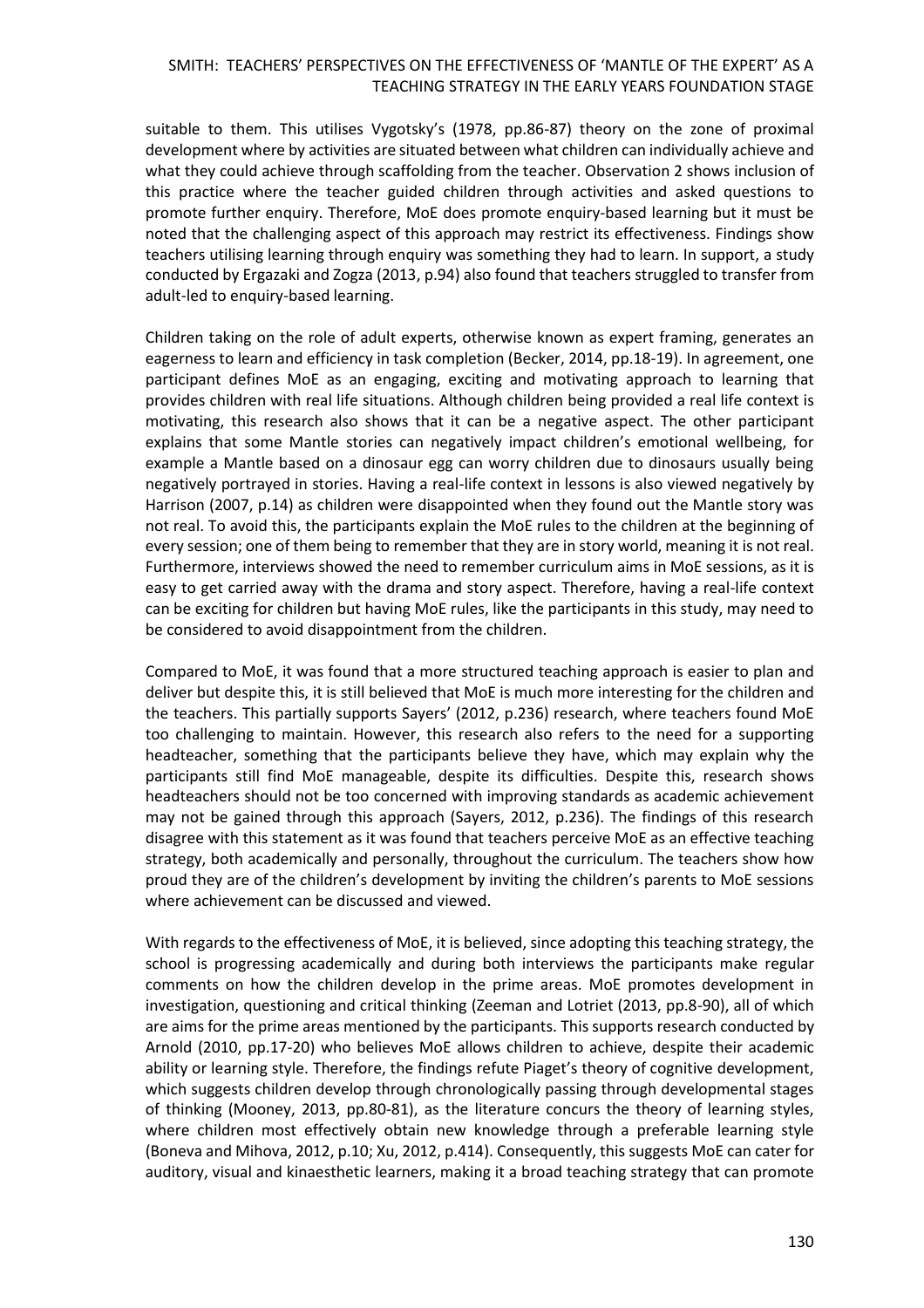suitable to them. This utilises Vygotsky's (1978, pp.86-87) theory on the zone of proximal development where by activities are situated between what children can individually achieve and what they could achieve through scaffolding from the teacher. Observation 2 shows inclusion of this practice where the teacher guided children through activities and asked questions to promote further enquiry. Therefore, MoE does promote enquiry-based learning but it must be noted that the challenging aspect of this approach may restrict its effectiveness. Findings show teachers utilising learning through enquiry was something they had to learn. In support, a study conducted by Ergazaki and Zogza (2013, p.94) also found that teachers struggled to transfer from adult-led to enquiry-based learning.

Children taking on the role of adult experts, otherwise known as expert framing, generates an eagerness to learn and efficiency in task completion (Becker, 2014, pp.18-19). In agreement, one participant defines MoE as an engaging, exciting and motivating approach to learning that provides children with real life situations. Although children being provided a real life context is motivating, this research also shows that it can be a negative aspect. The other participant explains that some Mantle stories can negatively impact children's emotional wellbeing, for example a Mantle based on a dinosaur egg can worry children due to dinosaurs usually being negatively portrayed in stories. Having a real-life context in lessons is also viewed negatively by Harrison (2007, p.14) as children were disappointed when they found out the Mantle story was not real. To avoid this, the participants explain the MoE rules to the children at the beginning of every session; one of them being to remember that they are in story world, meaning it is not real. Furthermore, interviews showed the need to remember curriculum aims in MoE sessions, as it is easy to get carried away with the drama and story aspect. Therefore, having a real-life context can be exciting for children but having MoE rules, like the participants in this study, may need to be considered to avoid disappointment from the children.

Compared to MoE, it was found that a more structured teaching approach is easier to plan and deliver but despite this, it is still believed that MoE is much more interesting for the children and the teachers. This partially supports Sayers' (2012, p.236) research, where teachers found MoE too challenging to maintain. However, this research also refers to the need for a supporting headteacher, something that the participants believe they have, which may explain why the participants still find MoE manageable, despite its difficulties. Despite this, research shows headteachers should not be too concerned with improving standards as academic achievement may not be gained through this approach (Sayers, 2012, p.236). The findings of this research disagree with this statement as it was found that teachers perceive MoE as an effective teaching strategy, both academically and personally, throughout the curriculum. The teachers show how proud they are of the children's development by inviting the children's parents to MoE sessions where achievement can be discussed and viewed.

With regards to the effectiveness of MoE, it is believed, since adopting this teaching strategy, the school is progressing academically and during both interviews the participants make regular comments on how the children develop in the prime areas. MoE promotes development in investigation, questioning and critical thinking (Zeeman and Lotriet (2013, pp.8-90), all of which are aims for the prime areas mentioned by the participants. This supports research conducted by Arnold (2010, pp.17-20) who believes MoE allows children to achieve, despite their academic ability or learning style. Therefore, the findings refute Piaget's theory of cognitive development, which suggests children develop through chronologically passing through developmental stages of thinking (Mooney, 2013, pp.80-81), as the literature concurs the theory of learning styles, where children most effectively obtain new knowledge through a preferable learning style (Boneva and Mihova, 2012, p.10; Xu, 2012, p.414). Consequently, this suggests MoE can cater for auditory, visual and kinaesthetic learners, making it a broad teaching strategy that can promote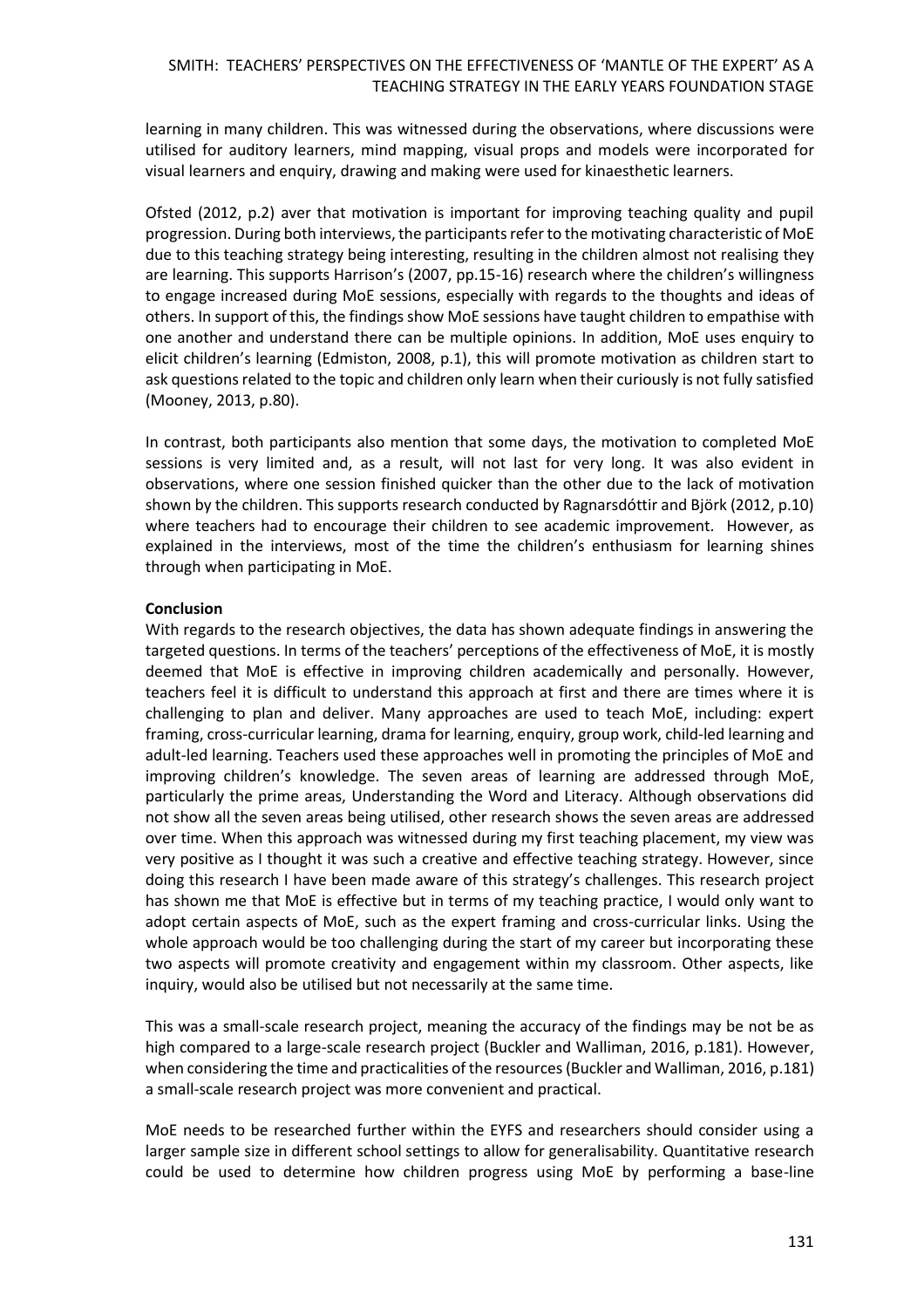learning in many children. This was witnessed during the observations, where discussions were utilised for auditory learners, mind mapping, visual props and models were incorporated for visual learners and enquiry, drawing and making were used for kinaesthetic learners.

Ofsted (2012, p.2) aver that motivation is important for improving teaching quality and pupil progression. During both interviews, the participants refer to the motivating characteristic of MoE due to this teaching strategy being interesting, resulting in the children almost not realising they are learning. This supports Harrison's (2007, pp.15-16) research where the children's willingness to engage increased during MoE sessions, especially with regards to the thoughts and ideas of others. In support of this, the findings show MoE sessions have taught children to empathise with one another and understand there can be multiple opinions. In addition, MoE uses enquiry to elicit children's learning (Edmiston, 2008, p.1), this will promote motivation as children start to ask questions related to the topic and children only learn when their curiously is not fully satisfied (Mooney, 2013, p.80).

In contrast, both participants also mention that some days, the motivation to completed MoE sessions is very limited and, as a result, will not last for very long. It was also evident in observations, where one session finished quicker than the other due to the lack of motivation shown by the children. This supports research conducted by Ragnarsdóttir and Björk (2012, p.10) where teachers had to encourage their children to see academic improvement. However, as explained in the interviews, most of the time the children's enthusiasm for learning shines through when participating in MoE.

### **Conclusion**

With regards to the research objectives, the data has shown adequate findings in answering the targeted questions. In terms of the teachers' perceptions of the effectiveness of MoE, it is mostly deemed that MoE is effective in improving children academically and personally. However, teachers feel it is difficult to understand this approach at first and there are times where it is challenging to plan and deliver. Many approaches are used to teach MoE, including: expert framing, cross-curricular learning, drama for learning, enquiry, group work, child-led learning and adult-led learning. Teachers used these approaches well in promoting the principles of MoE and improving children's knowledge. The seven areas of learning are addressed through MoE, particularly the prime areas, Understanding the Word and Literacy. Although observations did not show all the seven areas being utilised, other research shows the seven areas are addressed over time. When this approach was witnessed during my first teaching placement, my view was very positive as I thought it was such a creative and effective teaching strategy. However, since doing this research I have been made aware of this strategy's challenges. This research project has shown me that MoE is effective but in terms of my teaching practice, I would only want to adopt certain aspects of MoE, such as the expert framing and cross-curricular links. Using the whole approach would be too challenging during the start of my career but incorporating these two aspects will promote creativity and engagement within my classroom. Other aspects, like inquiry, would also be utilised but not necessarily at the same time.

This was a small-scale research project, meaning the accuracy of the findings may be not be as high compared to a large-scale research project (Buckler and Walliman, 2016, p.181). However, when considering the time and practicalities of the resources (Buckler and Walliman, 2016, p.181) a small-scale research project was more convenient and practical.

MoE needs to be researched further within the EYFS and researchers should consider using a larger sample size in different school settings to allow for generalisability. Quantitative research could be used to determine how children progress using MoE by performing a base-line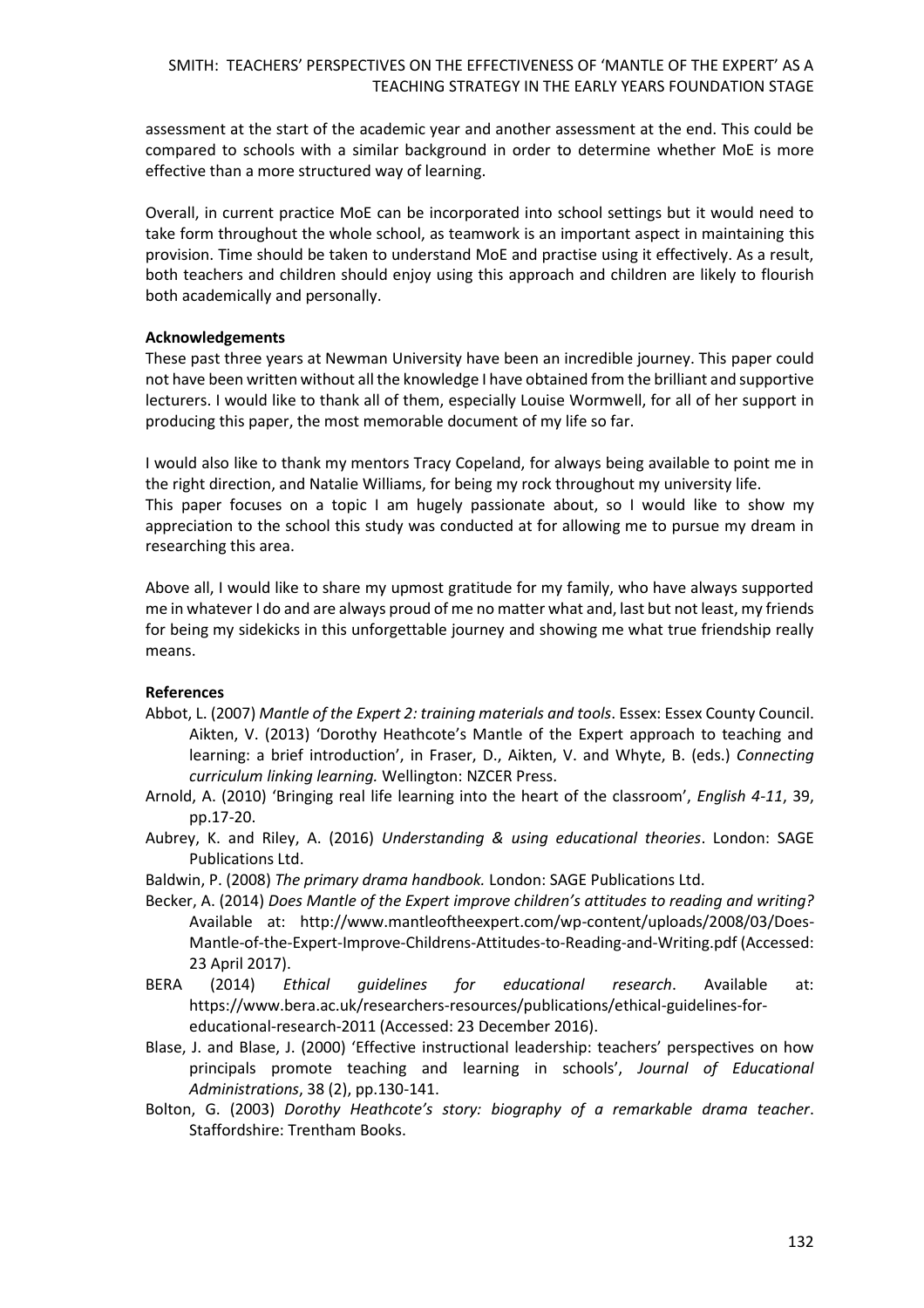assessment at the start of the academic year and another assessment at the end. This could be compared to schools with a similar background in order to determine whether MoE is more effective than a more structured way of learning.

Overall, in current practice MoE can be incorporated into school settings but it would need to take form throughout the whole school, as teamwork is an important aspect in maintaining this provision. Time should be taken to understand MoE and practise using it effectively. As a result, both teachers and children should enjoy using this approach and children are likely to flourish both academically and personally.

### **Acknowledgements**

These past three years at Newman University have been an incredible journey. This paper could not have been written without all the knowledge I have obtained from the brilliant and supportive lecturers. I would like to thank all of them, especially Louise Wormwell, for all of her support in producing this paper, the most memorable document of my life so far.

I would also like to thank my mentors Tracy Copeland, for always being available to point me in the right direction, and Natalie Williams, for being my rock throughout my university life.

This paper focuses on a topic I am hugely passionate about, so I would like to show my appreciation to the school this study was conducted at for allowing me to pursue my dream in researching this area.

Above all, I would like to share my upmost gratitude for my family, who have always supported me in whatever I do and are always proud of me no matter what and, last but not least, my friends for being my sidekicks in this unforgettable journey and showing me what true friendship really means.

# **References**

- Abbot, L. (2007) *Mantle of the Expert 2: training materials and tools*. Essex: Essex County Council. Aikten, V. (2013) 'Dorothy Heathcote's Mantle of the Expert approach to teaching and learning: a brief introduction', in Fraser, D., Aikten, V. and Whyte, B. (eds.) *Connecting curriculum linking learning.* Wellington: NZCER Press.
- Arnold, A. (2010) 'Bringing real life learning into the heart of the classroom', *English 4-11*, 39, pp.17-20.
- Aubrey, K. and Riley, A. (2016) *Understanding & using educational theories*. London: SAGE Publications Ltd.
- Baldwin, P. (2008) *The primary drama handbook.* London: SAGE Publications Ltd.
- Becker, A. (2014) *Does Mantle of the Expert improve children's attitudes to reading and writing?* Available at: http://www.mantleoftheexpert.com/wp-content/uploads/2008/03/Does-Mantle-of-the-Expert-Improve-Childrens-Attitudes-to-Reading-and-Writing.pdf (Accessed: 23 April 2017).
- BERA (2014) *Ethical guidelines for educational research*. Available at: https://www.bera.ac.uk/researchers-resources/publications/ethical-guidelines-foreducational-research-2011 (Accessed: 23 December 2016).
- Blase, J. and Blase, J. (2000) 'Effective instructional leadership: teachers' perspectives on how principals promote teaching and learning in schools', *Journal of Educational Administrations*, 38 (2), pp.130-141.
- Bolton, G. (2003) *Dorothy Heathcote's story: biography of a remarkable drama teacher*. Staffordshire: Trentham Books.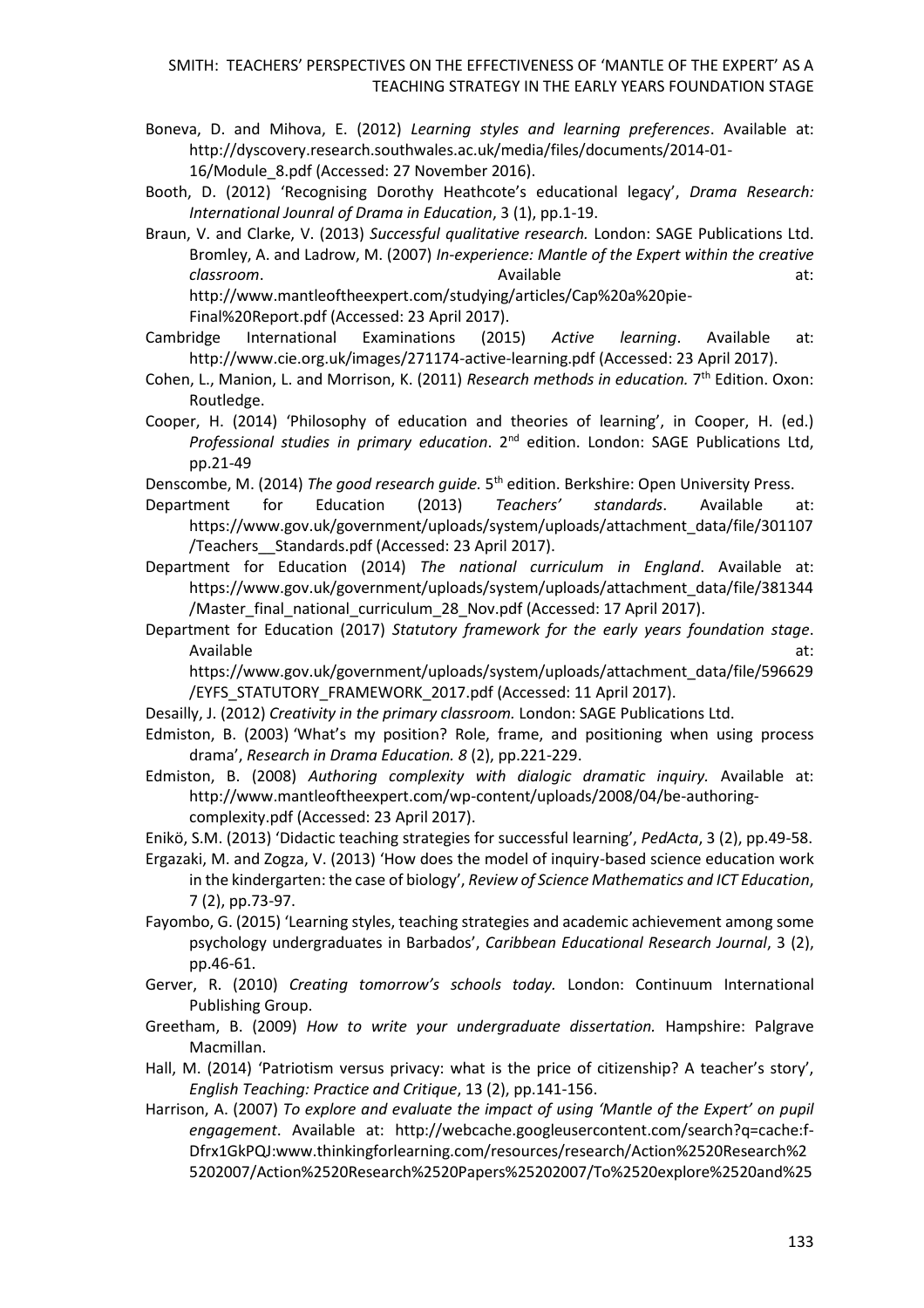- Boneva, D. and Mihova, E. (2012) *Learning styles and learning preferences*. Available at: http://dyscovery.research.southwales.ac.uk/media/files/documents/2014-01- 16/Module\_8.pdf (Accessed: 27 November 2016).
- Booth, D. (2012) 'Recognising Dorothy Heathcote's educational legacy', *Drama Research: International Jounral of Drama in Education*, 3 (1), pp.1-19.

Braun, V. and Clarke, V. (2013) *Successful qualitative research.* London: SAGE Publications Ltd. Bromley, A. and Ladrow, M. (2007) *In-experience: Mantle of the Expert within the creative classroom*. at: Available at: Available at: http://www.mantleoftheexpert.com/studying/articles/Cap%20a%20pie-Final%20Report.pdf (Accessed: 23 April 2017).

Cambridge International Examinations (2015) *Active learning*. Available at: http://www.cie.org.uk/images/271174-active-learning.pdf (Accessed: 23 April 2017).

Cohen, L., Manion, L. and Morrison, K. (2011) *Research methods in education.* 7<sup>th</sup> Edition. Oxon: Routledge.

Cooper, H. (2014) 'Philosophy of education and theories of learning', in Cooper, H. (ed.) *Professional studies in primary education*. 2nd edition. London: SAGE Publications Ltd, pp.21-49

Denscombe, M. (2014) *The good research guide.* 5<sup>th</sup> edition. Berkshire: Open University Press.

Department for Education (2013) *Teachers' standards*. Available at: https://www.gov.uk/government/uploads/system/uploads/attachment\_data/file/301107 /Teachers\_\_Standards.pdf (Accessed: 23 April 2017).

Department for Education (2014) *The national curriculum in England*. Available at: https://www.gov.uk/government/uploads/system/uploads/attachment\_data/file/381344 /Master\_final\_national\_curriculum\_28\_Nov.pdf (Accessed: 17 April 2017).

Department for Education (2017) *Statutory framework for the early years foundation stage*. Available at:

https://www.gov.uk/government/uploads/system/uploads/attachment\_data/file/596629 /EYFS\_STATUTORY\_FRAMEWORK\_2017.pdf (Accessed: 11 April 2017).

- Desailly, J. (2012) *Creativity in the primary classroom.* London: SAGE Publications Ltd.
- Edmiston, B. (2003) ['What's my position? Role, frame, and positioning when using process](https://sites.ehe.osu.edu/bedmiston/files/2011/11/Whats-my-position.pdf)  [drama](https://sites.ehe.osu.edu/bedmiston/files/2011/11/Whats-my-position.pdf)', *Research in Drama Education. 8* (2), pp.221-229.
- Edmiston, B. (2008) *Authoring complexity with dialogic dramatic inquiry.* Available at: http://www.mantleoftheexpert.com/wp-content/uploads/2008/04/be-authoringcomplexity.pdf (Accessed: 23 April 2017).

Enikö, S.M. (2013) 'Didactic teaching strategies for successful learning', *PedActa*, 3 (2), pp.49-58.

Ergazaki, M. and Zogza, V. (2013) 'How does the model of inquiry-based science education work in the kindergarten: the case of biology', *Review of Science Mathematics and ICT Education*, 7 (2), pp.73-97.

- Fayombo, G. (2015) 'Learning styles, teaching strategies and academic achievement among some psychology undergraduates in Barbados', *Caribbean Educational Research Journal*, 3 (2), pp.46-61.
- Gerver, R. (2010) *Creating tomorrow's schools today.* London: Continuum International Publishing Group.
- Greetham, B. (2009) *How to write your undergraduate dissertation.* Hampshire: Palgrave Macmillan.
- Hall, M. (2014) 'Patriotism versus privacy: what is the price of citizenship? A teacher's story', *English Teaching: Practice and Critique*, 13 (2), pp.141-156.
- Harrison, A. (2007) *To explore and evaluate the impact of using 'Mantle of the Expert' on pupil engagement*. Available at: http://webcache.googleusercontent.com/search?q=cache:f-Dfrx1GkPQJ:www.thinkingforlearning.com/resources/research/Action%2520Research%2 5202007/Action%2520Research%2520Papers%25202007/To%2520explore%2520and%25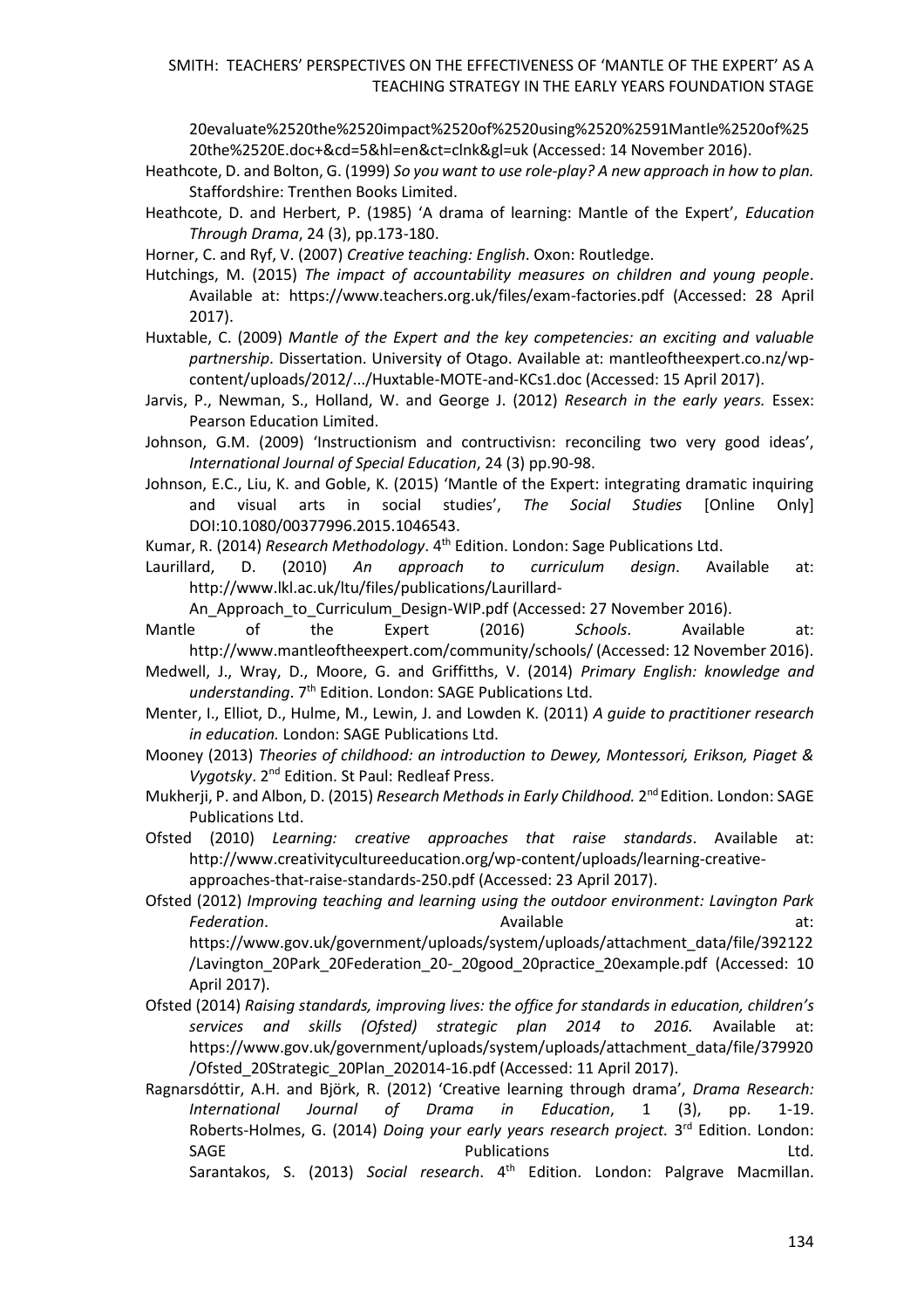20evaluate%2520the%2520impact%2520of%2520using%2520%2591Mantle%2520of%25 20the%2520E.doc+&cd=5&hl=en&ct=clnk&gl=uk (Accessed: 14 November 2016).

- Heathcote, D. and Bolton, G. (1999) *So you want to use role-play? A new approach in how to plan.* Staffordshire: Trenthen Books Limited.
- Heathcote, D. and Herbert, P. (1985) 'A drama of learning: Mantle of the Expert', *Education Through Drama*, 24 (3), pp.173-180.

Horner, C. and Ryf, V. (2007) *Creative teaching: English*. Oxon: Routledge.

Hutchings, M. (2015) *The impact of accountability measures on children and young people*. Available at: https://www.teachers.org.uk/files/exam-factories.pdf (Accessed: 28 April 2017).

Huxtable, C. (2009) *Mantle of the Expert and the key competencies: an exciting and valuable partnership*. Dissertation. University of Otago. Available at: mantleoftheexpert.co.nz/wpcontent/uploads/2012/.../Huxtable-MOTE-and-KCs1.doc (Accessed: 15 April 2017).

- Jarvis, P., Newman, S., Holland, W. and George J. (2012) *Research in the early years.* Essex: Pearson Education Limited.
- Johnson, G.M. (2009) 'Instructionism and contructivisn: reconciling two very good ideas', *International Journal of Special Education*, 24 (3) pp.90-98.
- Johnson, E.C., Liu, K. and Goble, K. (2015) 'Mantle of the Expert: integrating dramatic inquiring and visual arts in social studies', *The Social Studies* [Online Only] DOI:10.1080/00377996.2015.1046543.

Kumar, R. (2014) *Research Methodology*. 4th Edition. London: Sage Publications Ltd.

Laurillard, D. (2010) *An approach to curriculum design*. Available at: http://www.lkl.ac.uk/ltu/files/publications/Laurillard-

An Approach to Curriculum Design-WIP.pdf (Accessed: 27 November 2016).

Mantle of the Expert (2016) *Schools*. Available at:

- http://www.mantleoftheexpert.com/community/schools/ (Accessed: 12 November 2016). Medwell, J., Wray, D., Moore, G. and Griffitths, V. (2014) *Primary English: knowledge and*  understanding. 7<sup>th</sup> Edition. London: SAGE Publications Ltd.
- Menter, I., Elliot, D., Hulme, M., Lewin, J. and Lowden K. (2011) *A guide to practitioner research in education.* London: SAGE Publications Ltd.
- Mooney (2013) *Theories of childhood: an introduction to Dewey, Montessori, Erikson, Piaget & Vygotsky*. 2nd Edition. St Paul: Redleaf Press.
- Mukherji, P. and Albon, D. (2015) *Research Methods in Early Childhood.* 2<sup>nd</sup> Edition. London: SAGE Publications Ltd.

Ofsted (2010) *Learning: creative approaches that raise standards*. Available at: http://www.creativitycultureeducation.org/wp-content/uploads/learning-creativeapproaches-that-raise-standards-250.pdf (Accessed: 23 April 2017).

Ofsted (2012) *Improving teaching and learning using the outdoor environment: Lavington Park*  **Federation.** at: **Available** at: **Available** at:

https://www.gov.uk/government/uploads/system/uploads/attachment\_data/file/392122 /Lavington\_20Park\_20Federation\_20-\_20good\_20practice\_20example.pdf (Accessed: 10 April 2017).

- Ofsted (2014) *Raising standards, improving lives: the office for standards in education, children's services and skills (Ofsted) strategic plan 2014 to 2016.* Available at: https://www.gov.uk/government/uploads/system/uploads/attachment\_data/file/379920 /Ofsted\_20Strategic\_20Plan\_202014-16.pdf (Accessed: 11 April 2017).
- Ragnarsdóttir, A.H. and Björk, R. (2012) 'Creative learning through drama', *Drama Research: International Journal of Drama in Education*, 1 (3), pp. 1-19. Roberts-Holmes, G. (2014) *Doing your early years research project.* 3<sup>rd</sup> Edition. London: SAGE **Example 2018** Publications **CONSIDENT CONSIDERENT PUBLICATION**

Sarantakos, S. (2013) *Social research*. 4th Edition. London: Palgrave Macmillan.